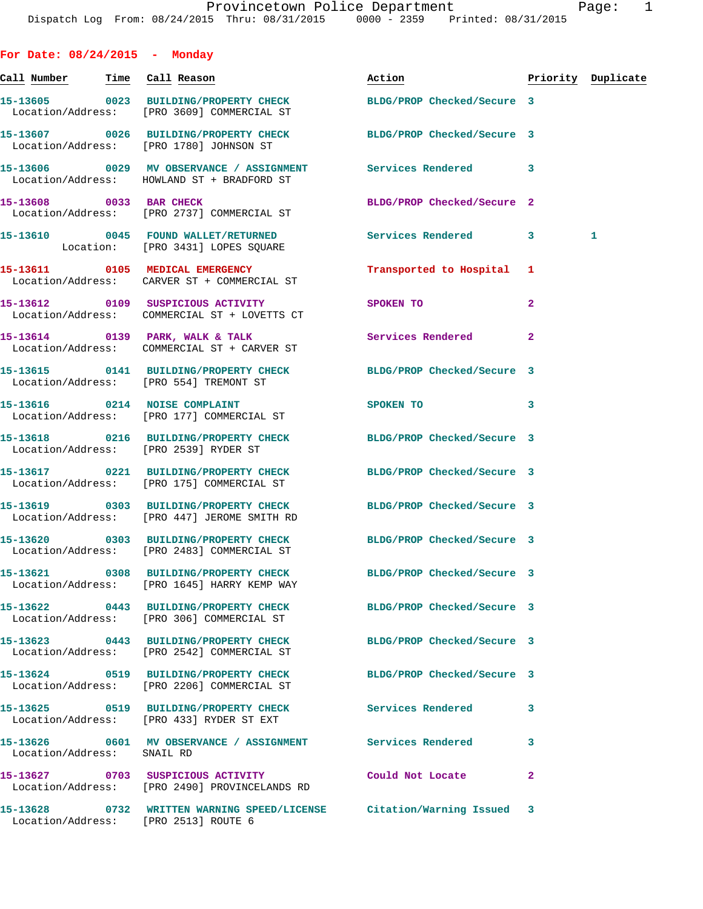| For Date: $08/24/2015$ - Monday        |                                                                                                                 |                            |                |                    |
|----------------------------------------|-----------------------------------------------------------------------------------------------------------------|----------------------------|----------------|--------------------|
| <u>Call Number — Time Call Reason</u>  |                                                                                                                 | Action                     |                | Priority Duplicate |
|                                        | 15-13605 0023 BUILDING/PROPERTY CHECK BLDG/PROP Checked/Secure 3<br>Location/Address: [PRO 3609] COMMERCIAL ST  |                            |                |                    |
|                                        | 15-13607 0026 BUILDING/PROPERTY CHECK BLDG/PROP Checked/Secure 3<br>Location/Address: [PRO 1780] JOHNSON ST     |                            |                |                    |
|                                        | 15-13606 0029 MV OBSERVANCE / ASSIGNMENT Services Rendered 3<br>Location/Address: HOWLAND ST + BRADFORD ST      |                            |                |                    |
|                                        | 15-13608 0033 BAR CHECK<br>Location/Address: [PRO 2737] COMMERCIAL ST                                           | BLDG/PROP Checked/Secure 2 |                |                    |
|                                        | 15-13610 0045 FOUND WALLET/RETURNED Services Rendered 3<br>Location: [PRO 3431] LOPES SQUARE                    |                            |                | 1.                 |
|                                        | 15-13611 0105 MEDICAL EMERGENCY<br>Location/Address: CARVER ST + COMMERCIAL ST                                  | Transported to Hospital 1  |                |                    |
|                                        | 15-13612 0109 SUSPICIOUS ACTIVITY<br>Location/Address: COMMERCIAL ST + LOVETTS CT                               | SPOKEN TO                  | $\overline{a}$ |                    |
|                                        | 15-13614 0139 PARK, WALK & TALK<br>Location/Address: COMMERCIAL ST + CARVER ST                                  | Services Rendered          | $\overline{a}$ |                    |
| Location/Address: [PRO 554] TREMONT ST | 15-13615 0141 BUILDING/PROPERTY CHECK BLDG/PROP Checked/Secure 3                                                |                            |                |                    |
|                                        | 15-13616 0214 NOISE COMPLAINT<br>Location/Address: [PRO 177] COMMERCIAL ST                                      | <b>SPOKEN TO</b>           | 3              |                    |
| Location/Address: [PRO 2539] RYDER ST  | 15-13618 0216 BUILDING/PROPERTY CHECK BLDG/PROP Checked/Secure 3                                                |                            |                |                    |
|                                        | 15-13617 0221 BUILDING/PROPERTY CHECK BLDG/PROP Checked/Secure 3<br>Location/Address: [PRO 175] COMMERCIAL ST   |                            |                |                    |
|                                        | 15-13619 0303 BUILDING/PROPERTY CHECK BLDG/PROP Checked/Secure 3<br>Location/Address: [PRO 447] JEROME SMITH RD |                            |                |                    |
|                                        | 15-13620 0303 BUILDING/PROPERTY CHECK BLDG/PROP Checked/Secure 3<br>Location/Address: [PRO 2483] COMMERCIAL ST  |                            |                |                    |
|                                        | 15-13621 0308 BUILDING/PROPERTY CHECK<br>Location/Address: [PRO 1645] HARRY KEMP WAY                            | BLDG/PROP Checked/Secure 3 |                |                    |
|                                        | 15-13622 0443 BUILDING/PROPERTY CHECK<br>Location/Address: [PRO 306] COMMERCIAL ST                              | BLDG/PROP Checked/Secure 3 |                |                    |
|                                        | 15-13623 0443 BUILDING/PROPERTY CHECK<br>Location/Address: [PRO 2542] COMMERCIAL ST                             | BLDG/PROP Checked/Secure 3 |                |                    |
|                                        | 15-13624 0519 BUILDING/PROPERTY CHECK<br>Location/Address: [PRO 2206] COMMERCIAL ST                             | BLDG/PROP Checked/Secure 3 |                |                    |
|                                        | 15-13625 0519 BUILDING/PROPERTY CHECK<br>Location/Address: [PRO 433] RYDER ST EXT                               | Services Rendered          | 3              |                    |
| Location/Address: SNAIL RD             | 15-13626 0601 MV OBSERVANCE / ASSIGNMENT Services Rendered                                                      |                            | 3              |                    |
|                                        | 15-13627 0703 SUSPICIOUS ACTIVITY<br>Location/Address: [PRO 2490] PROVINCELANDS RD                              | Could Not Locate           | $\mathbf{2}$   |                    |
| Location/Address: [PRO 2513] ROUTE 6   | 15-13628 0732 WRITTEN WARNING SPEED/LICENSE Citation/Warning Issued                                             |                            | -3             |                    |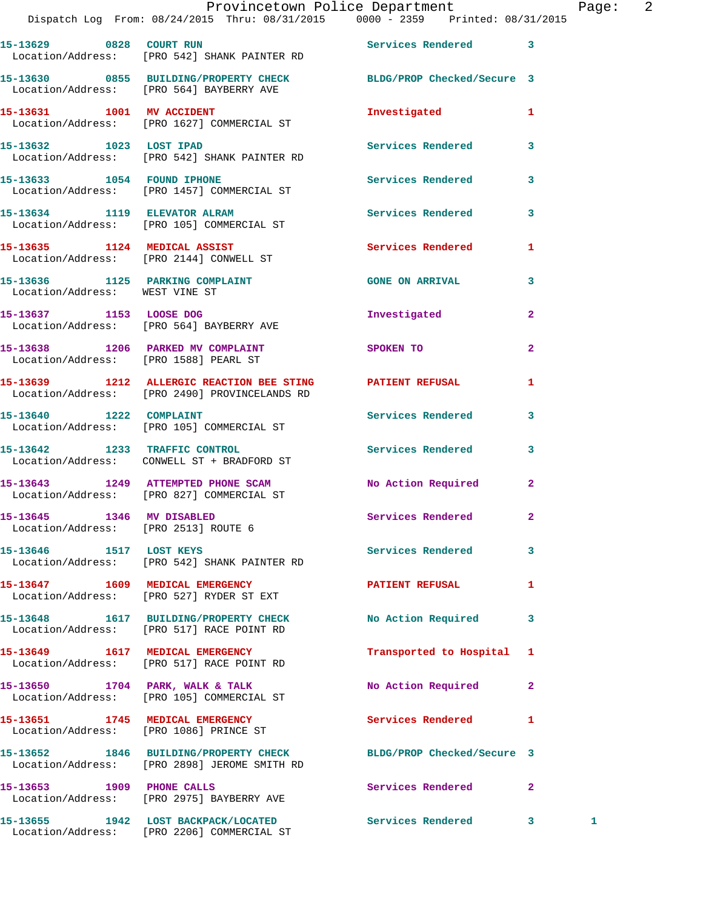|                                      | Provincetown Police Department<br>Dispatch Log From: 08/24/2015 Thru: 08/31/2015 0000 - 2359 Printed: 08/31/2015 |                           |                | Page:        | -2 |
|--------------------------------------|------------------------------------------------------------------------------------------------------------------|---------------------------|----------------|--------------|----|
|                                      | 15-13629 0828 COURT RUN<br>Location/Address: [PRO 542] SHANK PAINTER RD                                          | Services Rendered 3       |                |              |    |
|                                      | 15-13630 0855 BUILDING/PROPERTY CHECK BLDG/PROP Checked/Secure 3<br>Location/Address: [PRO 564] BAYBERRY AVE     |                           |                |              |    |
|                                      | 15-13631 1001 MV ACCIDENT<br>Location/Address: [PRO 1627] COMMERCIAL ST                                          | Investigated              | $\mathbf{1}$   |              |    |
| 15-13632 1023 LOST IPAD              | Location/Address: [PRO 542] SHANK PAINTER RD                                                                     | Services Rendered 3       |                |              |    |
|                                      | 15-13633 1054 FOUND IPHONE<br>Location/Address: [PRO 1457] COMMERCIAL ST                                         | Services Rendered         | 3              |              |    |
|                                      | 15-13634 1119 ELEVATOR ALRAM 1997 Services Rendered 3<br>Location/Address: [PRO 105] COMMERCIAL ST               |                           |                |              |    |
|                                      | 15-13635 1124 MEDICAL ASSIST<br>Location/Address: [PRO 2144] CONWELL ST                                          | Services Rendered 1       |                |              |    |
| Location/Address: WEST VINE ST       | 15-13636 1125 PARKING COMPLAINT CONSTANT GONE ON ARRIVAL                                                         |                           | 3              |              |    |
|                                      | 15-13637 1153 LOOSE DOG<br>Location/Address: [PRO 564] BAYBERRY AVE                                              | Investigated              | $\mathbf{2}$   |              |    |
|                                      | 15-13638 1206 PARKED MV COMPLAINT<br>Location/Address: [PRO 1588] PEARL ST                                       | SPOKEN TO                 | $\overline{a}$ |              |    |
|                                      | 15-13639 1212 ALLERGIC REACTION BEE STING PATIENT REFUSAL 1<br>Location/Address: [PRO 2490] PROVINCELANDS RD     |                           |                |              |    |
|                                      | 15-13640 1222 COMPLAINT<br>Location/Address: [PRO 105] COMMERCIAL ST                                             | <b>Services Rendered</b>  | 3              |              |    |
|                                      | 15-13642 1233 TRAFFIC CONTROL<br>Location/Address: CONWELL ST + BRADFORD ST                                      | Services Rendered 3       |                |              |    |
|                                      | 15-13643 1249 ATTEMPTED PHONE SCAM No Action Required<br>Location/Address: [PRO 827] COMMERCIAL ST               |                           | $\mathbf{2}$   |              |    |
| Location/Address: [PRO 2513] ROUTE 6 | 15-13645 1346 MV DISABLED                                                                                        | <b>Services Rendered</b>  |                |              |    |
| 15-13646 1517 LOST KEYS              | Location/Address: [PRO 542] SHANK PAINTER RD                                                                     | Services Rendered 3       |                |              |    |
|                                      | 15-13647 1609 MEDICAL EMERGENCY<br>Location/Address: [PRO 527] RYDER ST EXT                                      | <b>PATIENT REFUSAL</b>    | 1              |              |    |
|                                      | 15-13648   1617   BUILDING/PROPERTY CHECK   No Action Required<br>Location/Address: [PRO 517] RACE POINT RD      |                           | $\mathbf{3}$   |              |    |
|                                      | 15-13649 1617 MEDICAL EMERGENCY<br>Location/Address: [PRO 517] RACE POINT RD                                     | Transported to Hospital 1 |                |              |    |
|                                      | 15-13650 1704 PARK, WALK & TALK<br>Location/Address: [PRO 105] COMMERCIAL ST                                     | No Action Required        | 2              |              |    |
|                                      | 15-13651 1745 MEDICAL EMERGENCY<br>Location/Address: [PRO 1086] PRINCE ST                                        | Services Rendered 1       |                |              |    |
|                                      | 15-13652 1846 BUILDING/PROPERTY CHECK BLDG/PROP Checked/Secure 3<br>Location/Address: [PRO 2898] JEROME SMITH RD |                           |                |              |    |
|                                      | 15-13653 1909 PHONE CALLS<br>Location/Address: [PRO 2975] BAYBERRY AVE                                           | Services Rendered 2       |                |              |    |
|                                      |                                                                                                                  |                           |                | $\mathbf{1}$ |    |

Location/Address: [PRO 2206] COMMERCIAL ST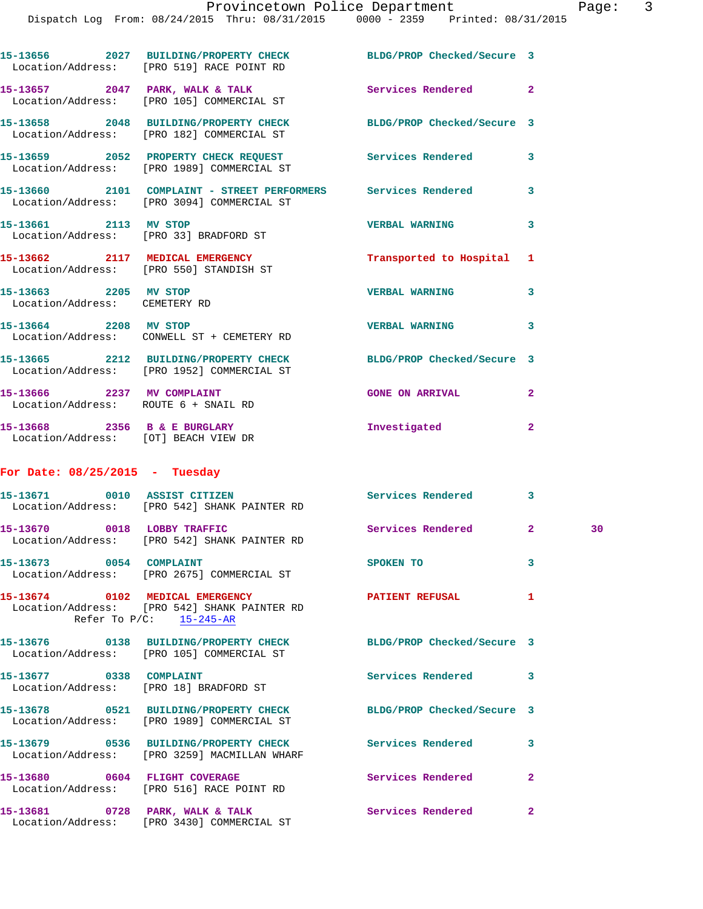Dispatch Log From: 08/24/2015 Thru: 08/31/2015 0000 - 2359 Printed: 08/31/2015

|                                                        | 15-13656 2027 BUILDING/PROPERTY CHECK<br>Location/Address: [PRO 519] RACE POINT RD                            | BLDG/PROP Checked/Secure 3 |                |    |
|--------------------------------------------------------|---------------------------------------------------------------------------------------------------------------|----------------------------|----------------|----|
|                                                        | 15-13657 2047 PARK, WALK & TALK<br>Location/Address: [PRO 105] COMMERCIAL ST                                  | Services Rendered 2        |                |    |
|                                                        | 15-13658 2048 BUILDING/PROPERTY CHECK<br>Location/Address: [PRO 182] COMMERCIAL ST                            | BLDG/PROP Checked/Secure 3 |                |    |
|                                                        | 15-13659 2052 PROPERTY CHECK REQUEST Services Rendered<br>Location/Address: [PRO 1989] COMMERCIAL ST          |                            | 3              |    |
|                                                        | 15-13660 2101 COMPLAINT - STREET PERFORMERS Services Rendered 3<br>Location/Address: [PRO 3094] COMMERCIAL ST |                            |                |    |
|                                                        | 15-13661 2113 MV STOP<br>Location/Address: [PRO 33] BRADFORD ST                                               | <b>VERBAL WARNING</b>      | 3              |    |
|                                                        | 15-13662 2117 MEDICAL EMERGENCY<br>Location/Address: [PRO 550] STANDISH ST                                    | Transported to Hospital    | 1              |    |
| 15-13663 2205 MV STOP<br>Location/Address: CEMETERY RD |                                                                                                               | <b>VERBAL WARNING</b>      | 3              |    |
| 15-13664 2208 MV STOP                                  | Location/Address: CONWELL ST + CEMETERY RD                                                                    | <b>VERBAL WARNING</b>      | 3              |    |
|                                                        | 15-13665 2212 BUILDING/PROPERTY CHECK<br>Location/Address: [PRO 1952] COMMERCIAL ST                           | BLDG/PROP Checked/Secure 3 |                |    |
|                                                        | 15-13666 2237 MV COMPLAINT<br>Location/Address: ROUTE 6 + SNAIL RD                                            | <b>GONE ON ARRIVAL</b>     | $\mathbf{2}$   |    |
|                                                        | 15-13668 2356 B & E BURGLARY<br>Location/Address: [OT] BEACH VIEW DR                                          | Investigated               | $\overline{a}$ |    |
| For Date: $08/25/2015$ - Tuesday                       |                                                                                                               |                            |                |    |
|                                                        | 15-13671 0010 ASSIST CITIZEN<br>Location/Address: [PRO 542] SHANK PAINTER RD                                  | Services Rendered 3        |                |    |
|                                                        | 15-13670 0018 LOBBY TRAFFIC<br>Location/Address: [PRO 542] SHANK PAINTER RD                                   | Services Rendered          | $\mathbf{2}$   | 30 |
| 15-13673 0054 COMPLAINT                                | Location/Address: [PRO 2675] COMMERCIAL ST                                                                    | <b>SPOKEN TO</b>           | 3              |    |
|                                                        | 15-13674 0102 MEDICAL EMERGENCY<br>Location/Address: [PRO 542] SHANK PAINTER RD<br>Refer To $P/C$ : 15-245-AR | <b>PATIENT REFUSAL</b>     | 1              |    |
|                                                        | 15-13676 0138 BUILDING/PROPERTY CHECK<br>Location/Address: [PRO 105] COMMERCIAL ST                            | BLDG/PROP Checked/Secure 3 |                |    |
| 15-13677 0338 COMPLAINT                                | Location/Address: [PRO 18] BRADFORD ST                                                                        | Services Rendered          | 3              |    |
|                                                        | 15-13678 0521 BUILDING/PROPERTY CHECK<br>Location/Address: [PRO 1989] COMMERCIAL ST                           | BLDG/PROP Checked/Secure 3 |                |    |
|                                                        | 15-13679 0536 BUILDING/PROPERTY CHECK<br>Location/Address: [PRO 3259] MACMILLAN WHARF                         | Services Rendered          | 3              |    |
|                                                        | 15-13680 0604 FLIGHT COVERAGE<br>Location/Address: [PRO 516] RACE POINT RD                                    | Services Rendered          | $\mathbf{2}$   |    |
|                                                        | 15-13681 0728 PARK, WALK & TALK                                                                               | Services Rendered          | $\mathbf{2}$   |    |

Location/Address: [PRO 3430] COMMERCIAL ST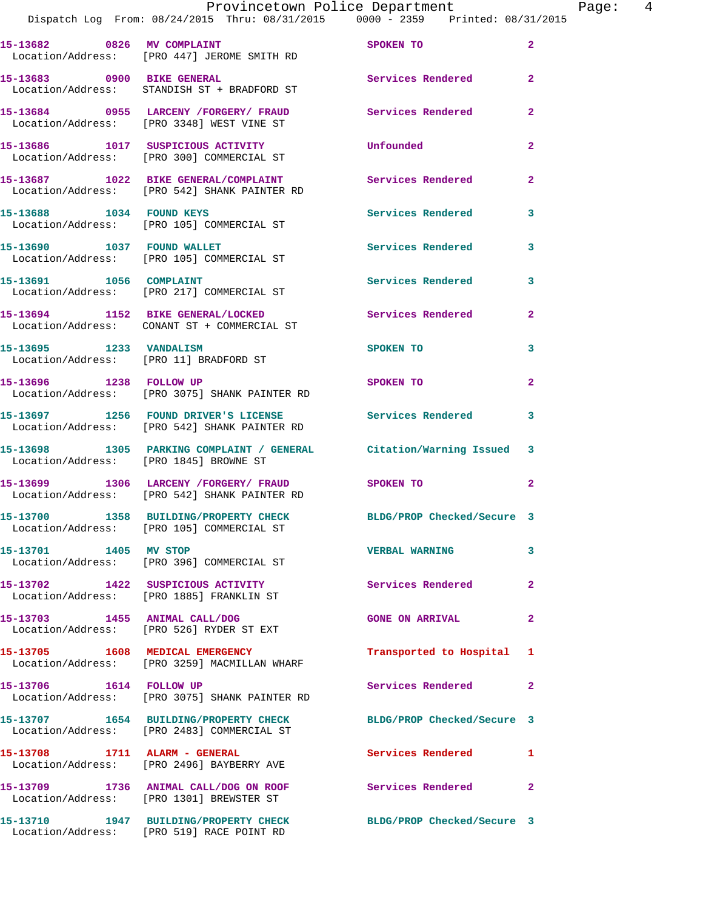|                                        | Provincetown Police Department Fage: 4<br>Dispatch Log From: 08/24/2015 Thru: 08/31/2015 0000 - 2359 Printed: 08/31/2015 |                            |                |
|----------------------------------------|--------------------------------------------------------------------------------------------------------------------------|----------------------------|----------------|
|                                        | 15-13682 0826 MV COMPLAINT SPOKEN TO<br>Location/Address: [PRO 447] JEROME SMITH RD                                      |                            | $\overline{2}$ |
|                                        | 15-13683 0900 BIKE GENERAL<br>Location/Address: STANDISH ST + BRADFORD ST                                                | Services Rendered 2        |                |
|                                        | 15-13684     0955   LARCENY /FORGERY/ FRAUD        Services Rendered<br>Location/Address:    [PRO 3348] WEST VINE ST     |                            | $\mathbf{2}$   |
|                                        | 15-13686 1017 SUSPICIOUS ACTIVITY Unfounded<br>Location/Address: [PRO 300] COMMERCIAL ST                                 |                            | $\mathbf{2}$   |
|                                        | 15-13687 1022 BIKE GENERAL/COMPLAINT Services Rendered 2<br>Location/Address: [PRO 542] SHANK PAINTER RD                 |                            |                |
|                                        | Location/Address: [PRO 105] COMMERCIAL ST                                                                                |                            | 3              |
|                                        | 15-13690 1037 FOUND WALLET<br>Location/Address: [PRO 105] COMMERCIAL ST                                                  | Services Rendered 3        |                |
|                                        | 15-13691 1056 COMPLAINT<br>Location/Address: [PRO 217] COMMERCIAL ST                                                     | Services Rendered          | 3              |
|                                        | 15-13694 1152 BIKE GENERAL/LOCKED Services Rendered 2<br>Location/Address: CONANT ST + COMMERCIAL ST                     |                            |                |
| Location/Address: [PRO 11] BRADFORD ST | 15-13695 1233 VANDALISM                                                                                                  | SPOKEN TO                  | 3              |
| 15-13696 1238 FOLLOW UP                | Location/Address: [PRO 3075] SHANK PAINTER RD                                                                            | SPOKEN TO                  | $\overline{2}$ |
|                                        | 15-13697 1256 FOUND DRIVER'S LICENSE Services Rendered<br>Location/Address: [PRO 542] SHANK PAINTER RD                   |                            | 3              |
|                                        | 15-13698 1305 PARKING COMPLAINT / GENERAL Citation/Warning Issued 3<br>Location/Address: [PRO 1845] BROWNE ST            |                            |                |
|                                        | 15-13699 1306 LARCENY / FORGERY / FRAUD SPOKEN TO<br>Location/Address: [PRO 542] SHANK PAINTER RD                        |                            | $\mathbf{2}$   |
|                                        | 15-13700 1358 BUILDING/PROPERTY CHECK<br>Location/Address: [PRO 105] COMMERCIAL ST                                       | BLDG/PROP Checked/Secure 3 |                |
| 15-13701 1405 MV STOP                  | Location/Address: [PRO 396] COMMERCIAL ST                                                                                | <b>VERBAL WARNING</b>      | 3              |
|                                        | 15-13702 1422 SUSPICIOUS ACTIVITY<br>Location/Address: [PRO 1885] FRANKLIN ST                                            | Services Rendered          | $\mathbf{2}$   |
|                                        | 15-13703 1455 ANIMAL CALL/DOG<br>Location/Address: [PRO 526] RYDER ST EXT                                                | <b>GONE ON ARRIVAL</b>     | 2              |
|                                        | 15-13705 1608 MEDICAL EMERGENCY<br>Location/Address: [PRO 3259] MACMILLAN WHARF                                          | Transported to Hospital 1  |                |
| 15-13706 1614 FOLLOW UP                | Location/Address: [PRO 3075] SHANK PAINTER RD                                                                            | Services Rendered          | 2              |

Location/Address: [PRO 3075] S **15-13707 1654 BUILDING/PROPERTY CHECK BLDG/PROP Checked/Secure 3**  Location/Address: [PRO 2483] COMMERCIAL ST **15-13708 1711 ALARM - GENERAL Services Rendered 1**  Location/Address: [PRO 2496] BAYBERRY AVE **15-13709 1736 ANIMAL CALL/DOG ON ROOF Services Rendered 2**  Location/Address: [PRO 1301] BREWSTER ST

**15-13710 1947 BUILDING/PROPERTY CHECK BLDG/PROP Checked/Secure 3**  Location/Address: [PRO 519] RACE POINT RD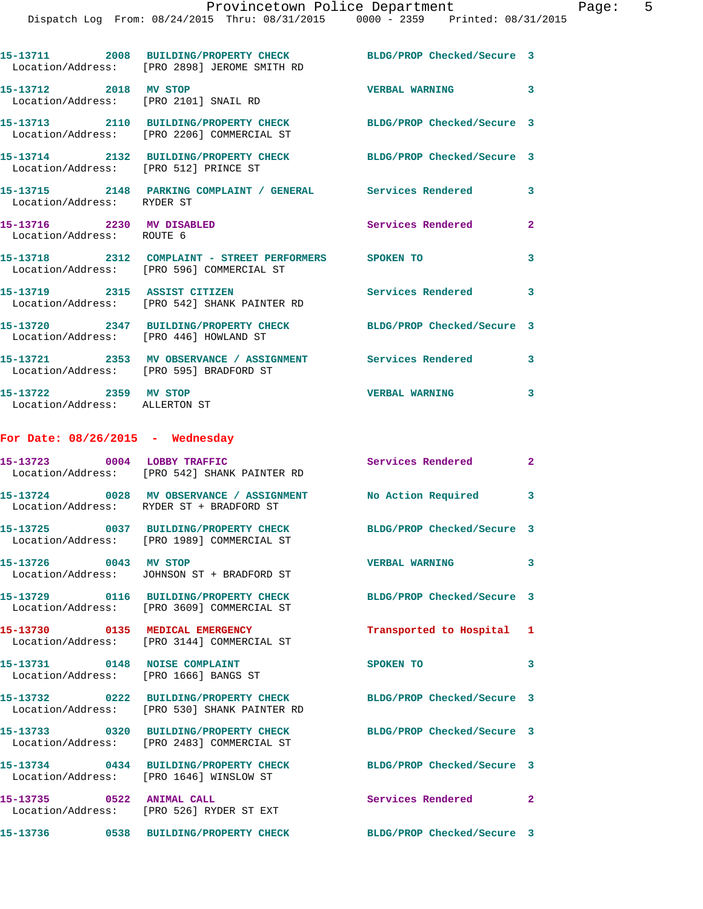|                                                                | 15-13711 2008 BUILDING/PROPERTY CHECK BLDG/PROP Checked/Secure 3<br>Location/Address: [PRO 2898] JEROME SMITH RD |                            |                         |
|----------------------------------------------------------------|------------------------------------------------------------------------------------------------------------------|----------------------------|-------------------------|
| 15-13712 2018 MV STOP<br>Location/Address: [PRO 2101] SNAIL RD |                                                                                                                  | VERBAL WARNING 3           |                         |
|                                                                | 15-13713 2110 BUILDING/PROPERTY CHECK BLDG/PROP Checked/Secure 3<br>Location/Address: [PRO 2206] COMMERCIAL ST   |                            |                         |
| Location/Address: [PRO 512] PRINCE ST                          | 15-13714 2132 BUILDING/PROPERTY CHECK BLDG/PROP Checked/Secure 3                                                 |                            |                         |
| Location/Address: RYDER ST                                     | 15-13715 2148 PARKING COMPLAINT / GENERAL Services Rendered 3                                                    |                            |                         |
| 15-13716 2230 MV DISABLED<br>Location/Address: ROUTE 6         |                                                                                                                  | <b>Services Rendered</b>   | $\overline{2}$          |
|                                                                | 15-13718 2312 COMPLAINT - STREET PERFORMERS SPOKEN TO<br>Location/Address: [PRO 596] COMMERCIAL ST               |                            | 3                       |
|                                                                | 15-13719 2315 ASSIST CITIZEN<br>Location/Address: [PRO 542] SHANK PAINTER RD                                     | Services Rendered 3        |                         |
| Location/Address: [PRO 446] HOWLAND ST                         | 15-13720 2347 BUILDING/PROPERTY CHECK                                                                            | BLDG/PROP Checked/Secure 3 |                         |
|                                                                | 15-13721 2353 MV OBSERVANCE / ASSIGNMENT Services Rendered 3<br>Location/Address: [PRO 595] BRADFORD ST          |                            |                         |
| 15-13722 2359 MV STOP<br>Location/Address: ALLERTON ST         |                                                                                                                  | <b>VERBAL WARNING</b>      | $\overline{\mathbf{3}}$ |
| For Date: $08/26/2015$ - Wednesday                             |                                                                                                                  |                            |                         |
| 15-13723 0004 LORRY TRAFFIC                                    |                                                                                                                  | Services Rendered          | - 2                     |

|                                                    | 15-13723 0004 LOBBY TRAFFIC<br>Location/Address: [PRO 542] SHANK PAINTER RD           | <b>Services Rendered</b>   | $\mathbf{2}$            |
|----------------------------------------------------|---------------------------------------------------------------------------------------|----------------------------|-------------------------|
|                                                    | 15-13724 0028 MV OBSERVANCE / ASSIGNMENT<br>Location/Address: RYDER ST + BRADFORD ST  | No Action Required 3       |                         |
|                                                    | Location/Address: [PRO 1989] COMMERCIAL ST                                            | BLDG/PROP Checked/Secure 3 |                         |
| 15-13726 0043 MV STOP                              | Location/Address: JOHNSON ST + BRADFORD ST                                            | <b>VERBAL WARNING</b>      | $\overline{\mathbf{3}}$ |
|                                                    | 15-13729 0116 BUILDING/PROPERTY CHECK<br>Location/Address: [PRO 3609] COMMERCIAL ST   | BLDG/PROP Checked/Secure 3 |                         |
| Location/Address:                                  | 15-13730 0135 MEDICAL EMERGENCY<br>[PRO 3144] COMMERCIAL ST                           | Transported to Hospital 1  |                         |
| 15-13731 0148 NOISE COMPLAINT<br>Location/Address: | [PRO 1666] BANGS ST                                                                   | SPOKEN TO                  | $\mathbf{3}$            |
|                                                    | 15-13732 0222 BUILDING/PROPERTY CHECK<br>Location/Address: [PRO 530] SHANK PAINTER RD | BLDG/PROP Checked/Secure 3 |                         |
| Location/Address:                                  | 15-13733 0320 BUILDING/PROPERTY CHECK<br>[PRO 2483] COMMERCIAL ST                     | BLDG/PROP Checked/Secure 3 |                         |
|                                                    | 15-13734 0434 BUILDING/PROPERTY CHECK<br>Location/Address: [PRO 1646] WINSLOW ST      | BLDG/PROP Checked/Secure 3 |                         |
| 15-13735 0522 ANIMAL CALL                          | Location/Address: [PRO 526] RYDER ST EXT                                              | Services Rendered          | $\overline{2}$          |
|                                                    | 15-13736 0538 BUILDING/PROPERTY CHECK BLDG/PROP Checked/Secure 3                      |                            |                         |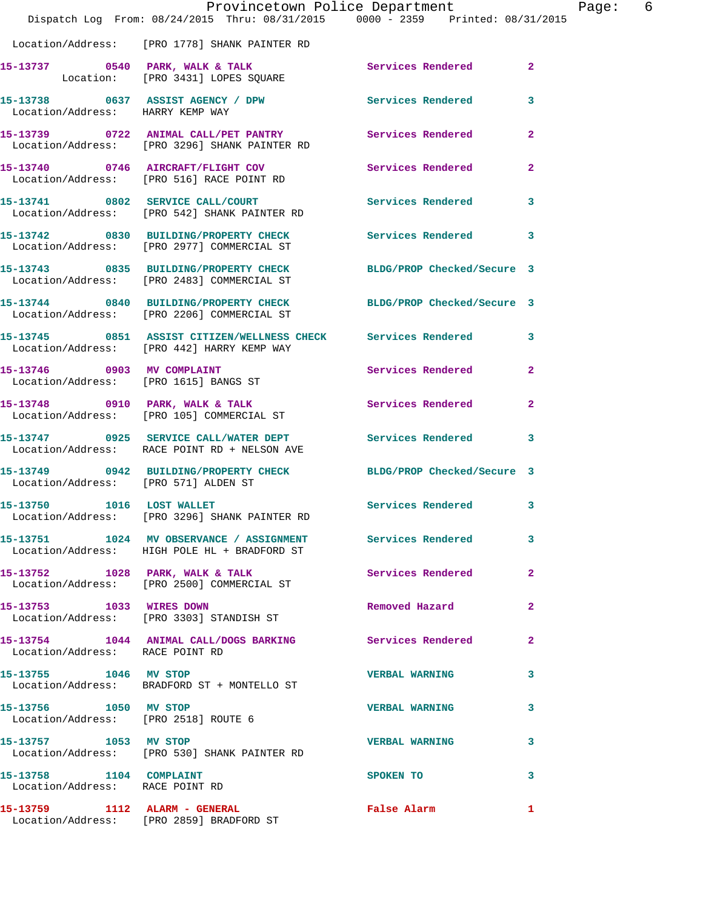|                                                            | Dispatch Log From: 08/24/2015 Thru: 08/31/2015 0000 - 2359 Printed: 08/31/2015                                 | Provincetown Police Department | Page: 6      |
|------------------------------------------------------------|----------------------------------------------------------------------------------------------------------------|--------------------------------|--------------|
|                                                            | Location/Address: [PRO 1778] SHANK PAINTER RD                                                                  |                                |              |
|                                                            | 15-13737 0540 PARK, WALK & TALK Services Rendered 2<br>Location: [PRO 3431] LOPES SQUARE                       |                                |              |
| Location/Address: HARRY KEMP WAY                           | 15-13738 0637 ASSIST AGENCY / DPW Services Rendered                                                            |                                | $\mathbf{3}$ |
|                                                            | 15-13739 0722 ANIMAL CALL/PET PANTRY Services Rendered 2<br>Location/Address: [PRO 3296] SHANK PAINTER RD      |                                |              |
|                                                            | 15-13740 0746 AIRCRAFT/FLIGHT COV Services Rendered<br>Location/Address: [PRO 516] RACE POINT RD               |                                | $\mathbf{2}$ |
|                                                            | 15-13741 0802 SERVICE CALL/COURT Services Rendered 3<br>Location/Address: [PRO 542] SHANK PAINTER RD           |                                |              |
|                                                            | 15-13742 0830 BUILDING/PROPERTY CHECK Services Rendered 3<br>Location/Address: [PRO 2977] COMMERCIAL ST        |                                |              |
|                                                            | 15-13743 0835 BUILDING/PROPERTY CHECK BLDG/PROP Checked/Secure 3<br>Location/Address: [PRO 2483] COMMERCIAL ST |                                |              |
|                                                            | 15-13744 0840 BUILDING/PROPERTY CHECK BLDG/PROP Checked/Secure 3<br>Location/Address: [PRO 2206] COMMERCIAL ST |                                |              |
|                                                            | 15-13745 0851 ASSIST CITIZEN/WELLNESS CHECK Services Rendered 3<br>Location/Address: [PRO 442] HARRY KEMP WAY  |                                |              |
|                                                            | 15-13746 0903 MV COMPLAINT<br>Location/Address: [PRO 1615] BANGS ST                                            | Services Rendered 2            |              |
|                                                            | 15-13748 0910 PARK, WALK & TALK<br>Location/Address: [PRO 105] COMMERCIAL ST                                   | Services Rendered              | $\mathbf{2}$ |
|                                                            | 15-13747 0925 SERVICE CALL/WATER DEPT Services Rendered 3<br>Location/Address: RACE POINT RD + NELSON AVE      |                                |              |
| Location/Address: [PRO 571] ALDEN ST                       | 15-13749 0942 BUILDING/PROPERTY CHECK BLDG/PROP Checked/Secure 3                                               |                                |              |
| 15-13750 1016 LOST WALLET                                  | Location/Address: [PRO 3296] SHANK PAINTER RD                                                                  | Services Rendered 3            |              |
|                                                            | 15-13751 1024 MV OBSERVANCE / ASSIGNMENT Services Rendered 3<br>Location/Address: HIGH POLE HL + BRADFORD ST   |                                |              |
|                                                            | 15-13752 1028 PARK, WALK & TALK<br>Location/Address: [PRO 2500] COMMERCIAL ST                                  | Services Rendered 2            |              |
| 15-13753 1033 WIRES DOWN                                   | Location/Address: [PRO 3303] STANDISH ST                                                                       | Removed Hazard                 | $\mathbf{2}$ |
| Location/Address: RACE POINT RD                            | 15-13754 1044 ANIMAL CALL/DOGS BARKING Services Rendered                                                       |                                | -2           |
| 15-13755 1046 MV STOP                                      | Location/Address: BRADFORD ST + MONTELLO ST                                                                    | <b>VERBAL WARNING</b>          | 3            |
| 15-13756 1050 MV STOP                                      | Location/Address: [PRO 2518] ROUTE 6                                                                           | <b>VERBAL WARNING</b>          | 3            |
| 15-13757 1053 MV STOP                                      | Location/Address: [PRO 530] SHANK PAINTER RD                                                                   | <b>VERBAL WARNING</b>          | 3            |
| 15-13758 1104 COMPLAINT<br>Location/Address: RACE POINT RD |                                                                                                                | SPOKEN TO                      | 3            |
|                                                            | 15-13759 1112 ALARM - GENERAL<br>Location/Address: [PRO 2859] BRADFORD ST                                      | <b>False Alarm</b>             | $\mathbf{1}$ |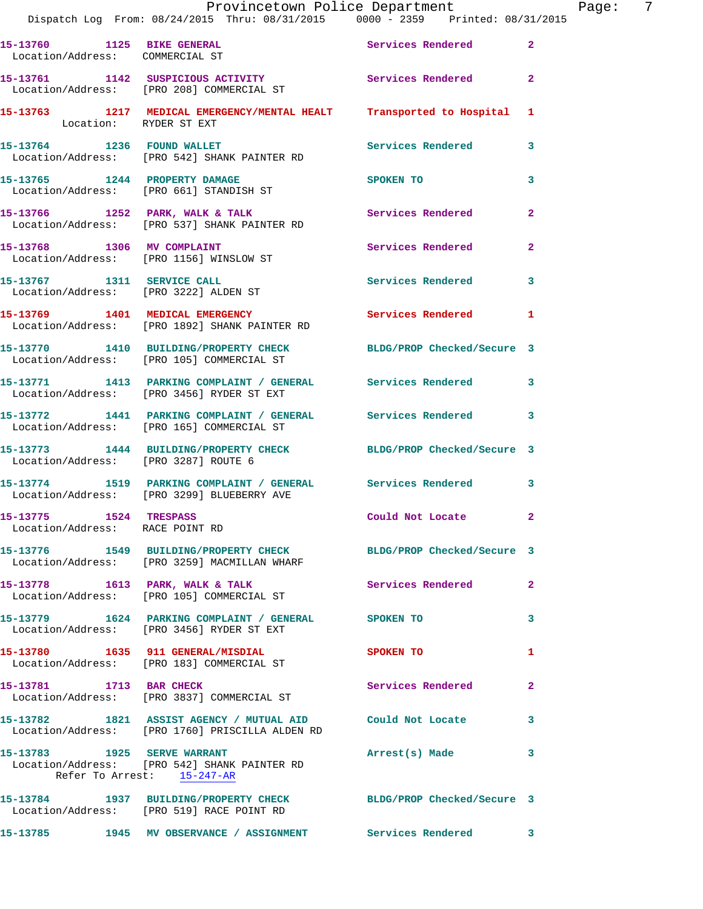|                                                           | Provincetown Police Department<br>Dispatch Log From: 08/24/2015 Thru: 08/31/2015 0000 - 2359 Printed: 08/31/2015  |                     | Page: 7      |
|-----------------------------------------------------------|-------------------------------------------------------------------------------------------------------------------|---------------------|--------------|
|                                                           | 15-13760 1125 BIKE GENERAL Services Rendered 2                                                                    |                     |              |
| Location/Address: COMMERCIAL ST                           |                                                                                                                   |                     |              |
|                                                           | 15-13761 1142 SUSPICIOUS ACTIVITY 1142 Services Rendered 2<br>Location/Address: [PRO 208] COMMERCIAL ST           |                     |              |
| Location: RYDER ST EXT                                    | 15-13763 1217 MEDICAL EMERGENCY/MENTAL HEALT Transported to Hospital 1                                            |                     |              |
|                                                           | 15-13764 1236 FOUND WALLET<br>Location/Address: [PRO 542] SHANK PAINTER RD                                        | Services Rendered 3 |              |
|                                                           | 15-13765 1244 PROPERTY DAMAGE<br>Location/Address: [PRO 661] STANDISH ST                                          | SPOKEN TO           | $\mathbf{3}$ |
|                                                           | 15-13766 1252 PARK, WALK & TALK 1997 Services Rendered Location/Address: [PRO 537] SHANK PAINTER RD               |                     | $\mathbf{2}$ |
|                                                           | 15-13768 1306 MV COMPLAINT<br>Location/Address: [PRO 1156] WINSLOW ST                                             | Services Rendered   | $\mathbf{2}$ |
|                                                           | 15-13767 1311 SERVICE CALL<br>Location/Address: [PRO 3222] ALDEN ST                                               | Services Rendered   | 3            |
|                                                           | 15-13769 1401 MEDICAL EMERGENCY<br>Location/Address: [PRO 1892] SHANK PAINTER RD                                  | Services Rendered 1 |              |
|                                                           | 15-13770 1410 BUILDING/PROPERTY CHECK BLDG/PROP Checked/Secure 3<br>Location/Address: [PRO 105] COMMERCIAL ST     |                     |              |
|                                                           | 15-13771 1413 PARKING COMPLAINT / GENERAL Services Rendered 3<br>Location/Address: [PRO 3456] RYDER ST EXT        |                     |              |
|                                                           | 15-13772 1441 PARKING COMPLAINT / GENERAL Services Rendered 3<br>Location/Address: [PRO 165] COMMERCIAL ST        |                     |              |
| Location/Address: [PRO 3287] ROUTE 6                      | 15-13773 1444 BUILDING/PROPERTY CHECK BLDG/PROP Checked/Secure 3                                                  |                     |              |
|                                                           | 15-13774 1519 PARKING COMPLAINT / GENERAL Services Rendered 3<br>Location/Address: [PRO 3299] BLUEBERRY AVE       |                     |              |
| 15-13775 1524 TRESPASS<br>Location/Address: RACE POINT RD |                                                                                                                   | Could Not Locate 2  |              |
|                                                           | 15-13776 1549 BUILDING/PROPERTY CHECK BLDG/PROP Checked/Secure 3<br>Location/Address: [PRO 3259] MACMILLAN WHARF  |                     |              |
|                                                           |                                                                                                                   | Services Rendered 2 |              |
|                                                           | 15-13779 1624 PARKING COMPLAINT / GENERAL SPOKEN TO<br>Location/Address: [PRO 3456] RYDER ST EXT                  |                     | 3            |
|                                                           | 15-13780 1635 911 GENERAL/MISDIAL<br>Location/Address: [PRO 183] COMMERCIAL ST                                    | SPOKEN TO           | 1            |
|                                                           | 15-13781 1713 BAR CHECK<br>Location/Address: [PRO 3837] COMMERCIAL ST                                             | Services Rendered 2 |              |
|                                                           | 15-13782 1821 ASSIST AGENCY / MUTUAL AID Could Not Locate 3<br>Location/Address: [PRO 1760] PRISCILLA ALDEN RD    |                     |              |
| Refer To Arrest: 15-247-AR                                | 15-13783 1925 SERVE WARRANT<br>Location/Address: [PRO 542] SHANK PAINTER RD                                       | Arrest(s) Made 3    |              |
|                                                           | 15-13784 1937 BUILDING/PROPERTY CHECK BLDG/PROP Checked/Secure 3<br>Location/Address: [PRO 519] RACE POINT RD     |                     |              |
|                                                           | 15-13785               1945     MV  OBSERVANCE  /  ASSIGNMENT                 Services  Rendered                3 |                     |              |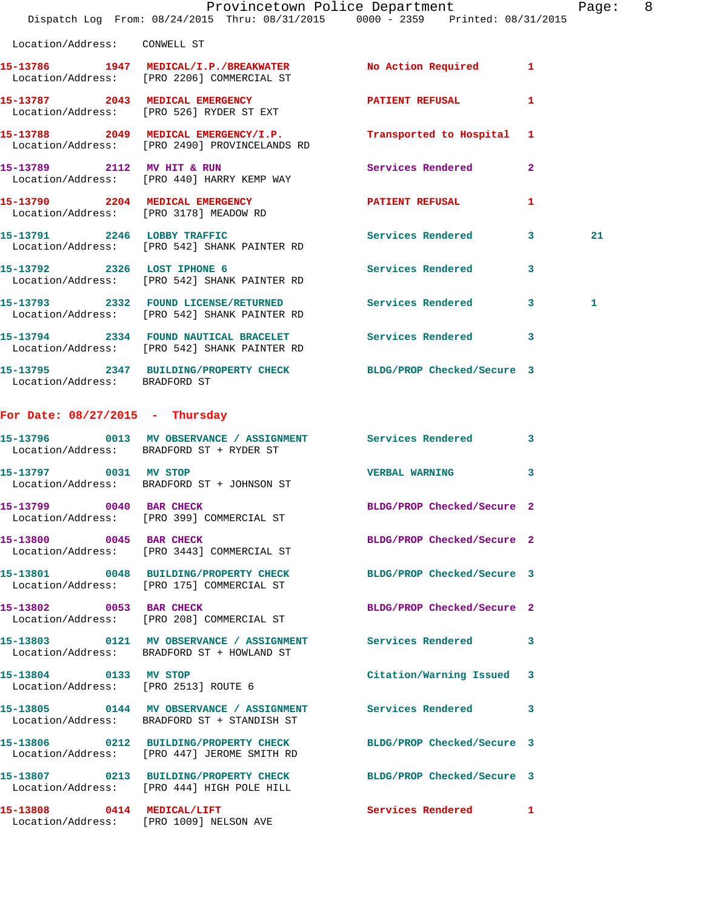|                                                               | Dispatch Log From: 08/24/2015 Thru: 08/31/2015 0000 - 2359 Printed: 08/31/2015                                  | Provincetown Police Department | Page: 8      |  |
|---------------------------------------------------------------|-----------------------------------------------------------------------------------------------------------------|--------------------------------|--------------|--|
| Location/Address: CONWELL ST                                  |                                                                                                                 |                                |              |  |
|                                                               | 15-13786 1947 MEDICAL/I.P./BREAKWATER No Action Required 1<br>Location/Address: [PRO 2206] COMMERCIAL ST        |                                |              |  |
|                                                               | 15-13787 2043 MEDICAL EMERGENCY<br>Location/Address: [PRO 526] RYDER ST EXT                                     | PATIENT REFUSAL 1              |              |  |
|                                                               | 15-13788 2049 MEDICAL EMERGENCY/I.P. Transported to Hospital 1<br>Location/Address: [PRO 2490] PROVINCELANDS RD |                                |              |  |
|                                                               | 15-13789 2112 MV HIT & RUN<br>Location/Address: [PRO 440] HARRY KEMP WAY                                        | Services Rendered 2            |              |  |
|                                                               | 15-13790 2204 MEDICAL EMERGENCY PATIENT REFUSAL<br>Location/Address: [PRO 3178] MEADOW RD                       |                                | $\mathbf{1}$ |  |
|                                                               | 15-13791 2246 LOBBY TRAFFIC Services Rendered 3<br>Location/Address: [PRO 542] SHANK PAINTER RD                 |                                | 21           |  |
|                                                               | 15-13792 2326 LOST IPHONE 6<br>Location/Address: [PRO 542] SHANK PAINTER RD                                     | Services Rendered 3            |              |  |
|                                                               | 15-13793 2332 FOUND LICENSE/RETURNED Services Rendered 3<br>Location/Address: [PRO 542] SHANK PAINTER RD        |                                | 1            |  |
|                                                               | 15-13794 2334 FOUND NAUTICAL BRACELET Services Rendered 3<br>Location/Address: [PRO 542] SHANK PAINTER RD       |                                |              |  |
| Location/Address: BRADFORD ST                                 | 15-13795 2347 BUILDING/PROPERTY CHECK BLDG/PROP Checked/Secure 3                                                |                                |              |  |
| For Date: $08/27/2015$ - Thursday                             |                                                                                                                 |                                |              |  |
|                                                               | 15-13796 0013 MV OBSERVANCE / ASSIGNMENT Services Rendered 3<br>Location/Address: BRADFORD ST + RYDER ST        |                                |              |  |
|                                                               | 15-13797 0031 MV STOP<br>Location/Address: BRADFORD ST + JOHNSON ST                                             | VERBAL WARNING 3               |              |  |
| 15-13799 0040 BAR CHECK                                       | Location/Address: [PRO 399] COMMERCIAL ST                                                                       | BLDG/PROP Checked/Secure 2     |              |  |
|                                                               | 15-13800 0045 BAR CHECK<br>Location/Address: [PRO 3443] COMMERCIAL ST                                           | BLDG/PROP Checked/Secure 2     |              |  |
|                                                               | 15-13801 0048 BUILDING/PROPERTY CHECK BLDG/PROP Checked/Secure 3<br>Location/Address: [PRO 175] COMMERCIAL ST   |                                |              |  |
|                                                               | 15-13802 0053 BAR CHECK<br>Location/Address: [PRO 208] COMMERCIAL ST                                            | BLDG/PROP Checked/Secure 2     |              |  |
|                                                               | 15-13803 0121 MV OBSERVANCE / ASSIGNMENT Services Rendered 3<br>Location/Address: BRADFORD ST + HOWLAND ST      |                                |              |  |
| 15-13804 0133 MV STOP<br>Location/Address: [PRO 2513] ROUTE 6 |                                                                                                                 | Citation/Warning Issued 3      |              |  |
|                                                               | 15-13805 0144 MV OBSERVANCE / ASSIGNMENT<br>Location/Address: BRADFORD ST + STANDISH ST                         | Services Rendered 3            |              |  |
|                                                               | 15-13806 0212 BUILDING/PROPERTY CHECK<br>Location/Address: [PRO 447] JEROME SMITH RD                            | BLDG/PROP Checked/Secure 3     |              |  |
|                                                               | 15-13807 0213 BUILDING/PROPERTY CHECK BLDG/PROP Checked/Secure 3<br>Location/Address: [PRO 444] HIGH POLE HILL  |                                |              |  |
|                                                               | 15-13808 0414 MEDICAL/LIFT<br>Location/Address: [PRO 1009] NELSON AVE                                           | Services Rendered 1            |              |  |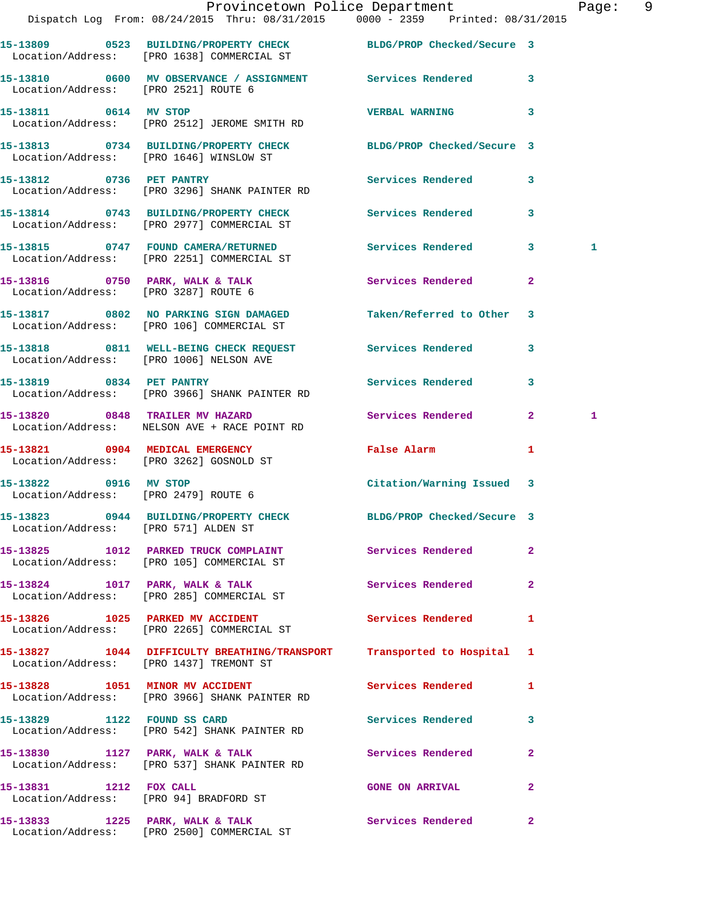|                                      | Provincetown Police Department The Page: 9<br>Dispatch Log From: 08/24/2015 Thru: 08/31/2015 0000 - 2359 Printed: 08/31/2015 |                            |              |              |  |
|--------------------------------------|------------------------------------------------------------------------------------------------------------------------------|----------------------------|--------------|--------------|--|
|                                      | 15-13809 0523 BUILDING/PROPERTY CHECK BLDG/PROP Checked/Secure 3<br>Location/Address: [PRO 1638] COMMERCIAL ST               |                            |              |              |  |
| Location/Address: [PRO 2521] ROUTE 6 | 15-13810 0600 MV OBSERVANCE / ASSIGNMENT Services Rendered 3                                                                 |                            |              |              |  |
|                                      | 15-13811 0614 MV STOP<br>Location/Address: [PRO 2512] JEROME SMITH RD                                                        | <b>VERBAL WARNING</b>      | 3            |              |  |
|                                      | 15-13813 0734 BUILDING/PROPERTY CHECK BLDG/PROP Checked/Secure 3<br>Location/Address: [PRO 1646] WINSLOW ST                  |                            |              |              |  |
|                                      | 15-13812 0736 PET PANTRY<br>Location/Address: [PRO 3296] SHANK PAINTER RD                                                    | Services Rendered 3        |              |              |  |
|                                      | 15-13814 0743 BUILDING/PROPERTY CHECK Services Rendered<br>Location/Address: [PRO 2977] COMMERCIAL ST                        |                            | 3            |              |  |
|                                      | 15-13815 0747 FOUND CAMERA/RETURNED Services Rendered 3<br>Location/Address: [PRO 2251] COMMERCIAL ST                        |                            |              | $\mathbf{1}$ |  |
| Location/Address: [PRO 3287] ROUTE 6 | 15-13816 0750 PARK, WALK & TALK 3 Services Rendered                                                                          |                            | $\mathbf{2}$ |              |  |
|                                      | 15-13817 0802 NO PARKING SIGN DAMAGED Taken/Referred to Other 3<br>Location/Address: [PRO 106] COMMERCIAL ST                 |                            |              |              |  |
|                                      | 15-13818 0811 WELL-BEING CHECK REQUEST Services Rendered<br>Location/Address: [PRO 1006] NELSON AVE                          |                            | 3            |              |  |
|                                      | 15-13819 0834 PET PANTRY<br>Location/Address: [PRO 3966] SHANK PAINTER RD                                                    | Services Rendered          | $\mathbf{3}$ |              |  |
|                                      | 15-13820 0848 TRAILER MV HAZARD<br>Location/Address: NELSON AVE + RACE POINT RD                                              | Services Rendered 2        |              | $\mathbf{1}$ |  |
|                                      | 15-13821 0904 MEDICAL EMERGENCY<br>Location/Address: [PRO 3262] GOSNOLD ST                                                   | False Alarm                | $\mathbf{1}$ |              |  |
| Location/Address: [PRO 2479] ROUTE 6 | 15-13822 0916 MV STOP                                                                                                        | Citation/Warning Issued 3  |              |              |  |
| Location/Address: [PRO 571] ALDEN ST | 15-13823 0944 BUILDING/PROPERTY CHECK                                                                                        | BLDG/PROP Checked/Secure 3 |              |              |  |
|                                      | 15-13825 1012 PARKED TRUCK COMPLAINT<br>Location/Address: [PRO 105] COMMERCIAL ST                                            | Services Rendered          | $\mathbf{2}$ |              |  |
|                                      | 15-13824 1017 PARK, WALK & TALK<br>Location/Address: [PRO 285] COMMERCIAL ST                                                 | Services Rendered          | $\mathbf{2}$ |              |  |
|                                      | 15-13826 1025 PARKED MV ACCIDENT<br>Location/Address: [PRO 2265] COMMERCIAL ST                                               | <b>Services Rendered</b>   | 1            |              |  |
|                                      | 15-13827 1044 DIFFICULTY BREATHING/TRANSPORT Transported to Hospital 1<br>Location/Address: [PRO 1437] TREMONT ST            |                            |              |              |  |
|                                      | 15-13828 1051 MINOR MV ACCIDENT<br>Location/Address: [PRO 3966] SHANK PAINTER RD                                             | <b>Services Rendered</b>   | $\mathbf{1}$ |              |  |
| 15-13829 1122 FOUND SS CARD          | Location/Address: [PRO 542] SHANK PAINTER RD                                                                                 | Services Rendered          | $\mathbf{3}$ |              |  |
|                                      | 15-13830 1127 PARK, WALK & TALK 1988 Services Rendered<br>Location/Address: [PRO 537] SHANK PAINTER RD                       |                            | 2            |              |  |
| 15-13831 1212 FOX CALL               | Location/Address: [PRO 94] BRADFORD ST                                                                                       | <b>GONE ON ARRIVAL</b>     | $\mathbf{2}$ |              |  |
|                                      |                                                                                                                              |                            | $\mathbf{2}$ |              |  |

Location/Address: [PRO 2500] COMMERCIAL ST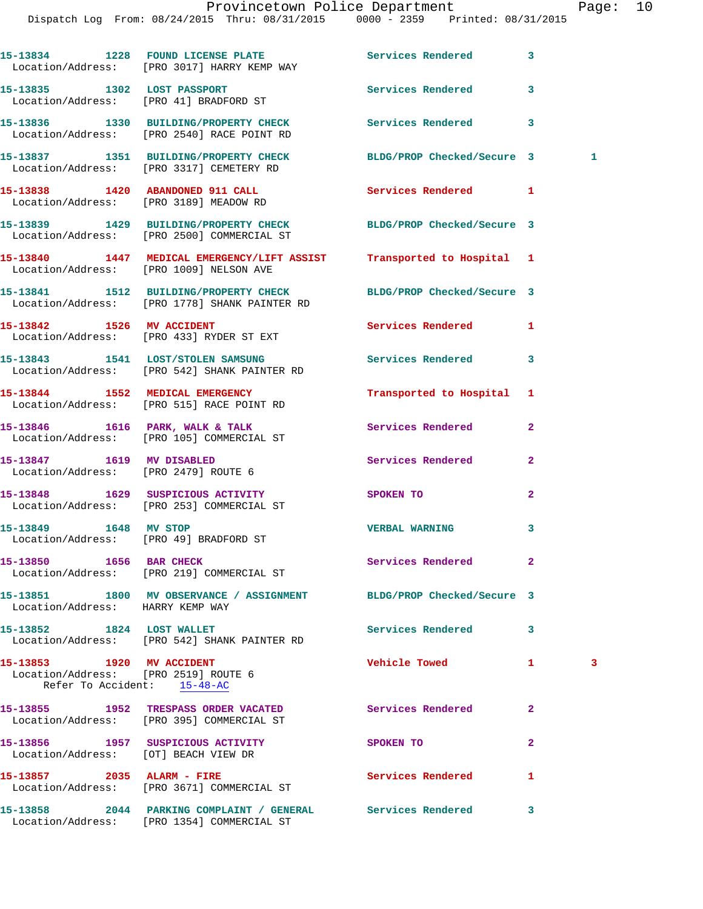|                                                                                                  | 15-13834 1228 FOUND LICENSE PLATE Services Rendered<br>Location/Address: [PRO 3017] HARRY KEMP WAY                |                            | 3               |    |
|--------------------------------------------------------------------------------------------------|-------------------------------------------------------------------------------------------------------------------|----------------------------|-----------------|----|
| 15-13835 1302 LOST PASSPORT                                                                      | Location/Address: [PRO 41] BRADFORD ST                                                                            | Services Rendered          | 3               |    |
|                                                                                                  | 15-13836 1330 BUILDING/PROPERTY CHECK Services Rendered<br>Location/Address: [PRO 2540] RACE POINT RD             |                            | 3               |    |
|                                                                                                  | 15-13837 1351 BUILDING/PROPERTY CHECK<br>Location/Address: [PRO 3317] CEMETERY RD                                 | BLDG/PROP Checked/Secure 3 | $\sim$ $\sim$ 1 |    |
|                                                                                                  | 15-13838 1420 ABANDONED 911 CALL<br>Location/Address: [PRO 3189] MEADOW RD                                        | Services Rendered          | 1               |    |
|                                                                                                  | 15-13839 1429 BUILDING/PROPERTY CHECK BLDG/PROP Checked/Secure 3<br>Location/Address: [PRO 2500] COMMERCIAL ST    |                            |                 |    |
|                                                                                                  | 15-13840 1447 MEDICAL EMERGENCY/LIFT ASSIST Transported to Hospital 1<br>Location/Address: [PRO 1009] NELSON AVE  |                            |                 |    |
|                                                                                                  | 15-13841 1512 BUILDING/PROPERTY CHECK BLDG/PROP Checked/Secure 3<br>Location/Address: [PRO 1778] SHANK PAINTER RD |                            |                 |    |
|                                                                                                  | 15-13842 1526 MV ACCIDENT<br>Location/Address: [PRO 433] RYDER ST EXT                                             | Services Rendered          | 1               |    |
|                                                                                                  | 15-13843 1541 LOST/STOLEN SAMSUNG Services Rendered<br>Location/Address: [PRO 542] SHANK PAINTER RD               |                            | 3               |    |
|                                                                                                  | 15-13844 1552 MEDICAL EMERGENCY<br>Location/Address: [PRO 515] RACE POINT RD                                      | Transported to Hospital    | 1               |    |
|                                                                                                  | 15-13846 1616 PARK, WALK & TALK<br>Location/Address: [PRO 105] COMMERCIAL ST                                      | Services Rendered          | $\mathbf{2}$    |    |
| 15-13847 1619 MV DISABLED<br>Location/Address: [PRO 2479] ROUTE 6                                |                                                                                                                   | Services Rendered          | $\mathbf{2}$    |    |
|                                                                                                  | 15-13848 1629 SUSPICIOUS ACTIVITY<br>Location/Address: [PRO 253] COMMERCIAL ST                                    | SPOKEN TO                  | $\mathbf{2}$    |    |
| 15-13849 1648 MV STOP<br>Location/Address: [PRO 49] BRADFORD ST                                  |                                                                                                                   | <b>VERBAL WARNING</b>      | 3               |    |
| 15-13850 1656 BAR CHECK                                                                          | Location/Address: [PRO 219] COMMERCIAL ST                                                                         | Services Rendered          | 2               |    |
| Location/Address: HARRY KEMP WAY                                                                 | 15-13851 1800 MV OBSERVANCE / ASSIGNMENT BLDG/PROP Checked/Secure 3                                               |                            |                 |    |
| 15-13852 1824 LOST WALLET                                                                        | Location/Address: [PRO 542] SHANK PAINTER RD                                                                      | Services Rendered          | 3               |    |
| 15-13853 1920 MV ACCIDENT<br>Location/Address: [PRO 2519] ROUTE 6<br>Refer To Accident: 15-48-AC |                                                                                                                   | <b>Vehicle Towed</b>       | 1               | -3 |
|                                                                                                  | 15-13855 1952 TRESPASS ORDER VACATED Services Rendered<br>Location/Address: [PRO 395] COMMERCIAL ST               |                            | $\mathbf{2}$    |    |
| Location/Address: [OT] BEACH VIEW DR                                                             | 15-13856 1957 SUSPICIOUS ACTIVITY                                                                                 | SPOKEN TO                  | $\mathbf{2}$    |    |
| 15-13857 2035 ALARM - FIRE                                                                       | Location/Address: [PRO 3671] COMMERCIAL ST                                                                        | <b>Services Rendered</b>   | 1               |    |
|                                                                                                  | Location/Address: [PRO 1354] COMMERCIAL ST                                                                        |                            | 3               |    |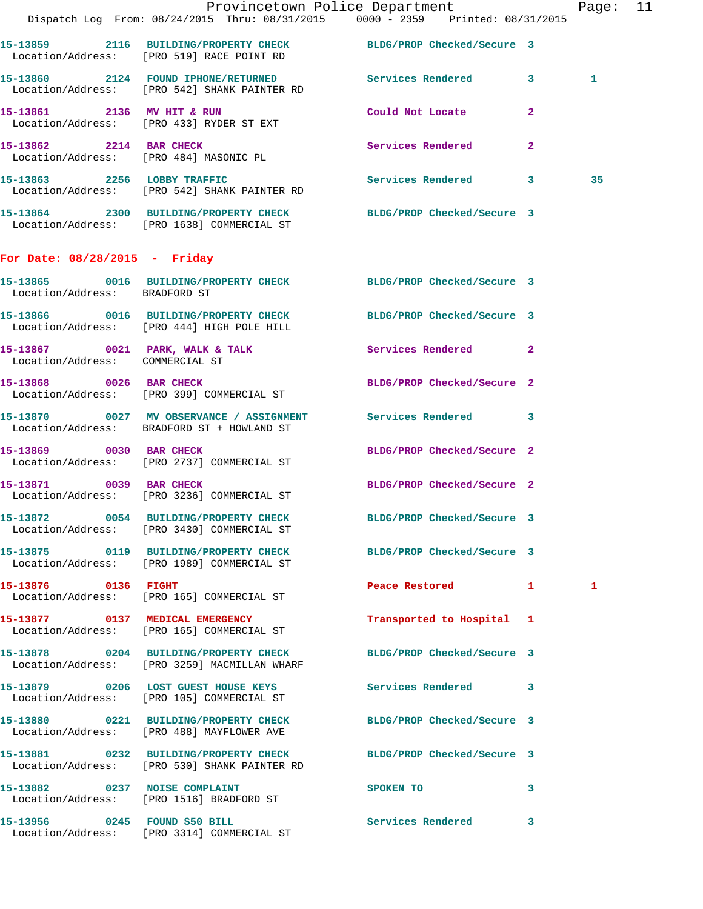|                                 | Dispatch Log From: 08/24/2015 Thru: 08/31/2015 0000 - 2359 Printed: 08/31/2015                                   | Provincetown Police Department                                                                                                                                                                                                             | Page: 11 |
|---------------------------------|------------------------------------------------------------------------------------------------------------------|--------------------------------------------------------------------------------------------------------------------------------------------------------------------------------------------------------------------------------------------|----------|
|                                 | 15-13859 2116 BUILDING/PROPERTY CHECK BLDG/PROP Checked/Secure 3<br>Location/Address: [PRO 519] RACE POINT RD    |                                                                                                                                                                                                                                            |          |
|                                 | 15-13860 2124 FOUND IPHONE/RETURNED Services Rendered 3<br>Location/Address: [PRO 542] SHANK PAINTER RD          |                                                                                                                                                                                                                                            | 1        |
|                                 | 15-13861 2136 MV HIT & RUN<br>Location/Address: [PRO 433] RYDER ST EXT                                           | Could Not Locate 2                                                                                                                                                                                                                         |          |
|                                 | 15-13862 2214 BAR CHECK<br>Location/Address: [PRO 484] MASONIC PL                                                | Services Rendered<br>$\mathbf{2}$                                                                                                                                                                                                          |          |
|                                 | 15-13863 2256 LOBBY TRAFFIC<br>Location/Address: [PRO 542] SHANK PAINTER RD                                      | Services Rendered 3                                                                                                                                                                                                                        | 35       |
|                                 | 15-13864 2300 BUILDING/PROPERTY CHECK BLDG/PROP Checked/Secure 3<br>Location/Address: [PRO 1638] COMMERCIAL ST   |                                                                                                                                                                                                                                            |          |
| For Date: 08/28/2015 - Friday   |                                                                                                                  |                                                                                                                                                                                                                                            |          |
| Location/Address: BRADFORD ST   | 15-13865 0016 BUILDING/PROPERTY CHECK BLDG/PROP Checked/Secure 3                                                 |                                                                                                                                                                                                                                            |          |
|                                 | 15-13866 0016 BUILDING/PROPERTY CHECK BLDG/PROP Checked/Secure 3<br>Location/Address: [PRO 444] HIGH POLE HILL   |                                                                                                                                                                                                                                            |          |
| Location/Address: COMMERCIAL ST | 15-13867 0021 PARK, WALK & TALK Services Rendered 2                                                              |                                                                                                                                                                                                                                            |          |
|                                 | 15-13868 0026 BAR CHECK<br>Location/Address: [PRO 399] COMMERCIAL ST                                             | BLDG/PROP Checked/Secure 2                                                                                                                                                                                                                 |          |
|                                 | 15-13870 0027 MV OBSERVANCE / ASSIGNMENT Services Rendered 3<br>Location/Address: BRADFORD ST + HOWLAND ST       |                                                                                                                                                                                                                                            |          |
| 15-13869 0030 BAR CHECK         | Location/Address: [PRO 2737] COMMERCIAL ST                                                                       | BLDG/PROP Checked/Secure 2                                                                                                                                                                                                                 |          |
|                                 | 15-13871 0039 BAR CHECK<br>Location/Address: [PRO 3236] COMMERCIAL ST                                            | BLDG/PROP Checked/Secure 2                                                                                                                                                                                                                 |          |
|                                 | 15-13872 0054 BUILDING/PROPERTY CHECK<br>Location/Address: [PRO 3430] COMMERCIAL ST                              | BLDG/PROP Checked/Secure 3                                                                                                                                                                                                                 |          |
|                                 | 15-13875 0119 BUILDING/PROPERTY CHECK BLDG/PROP Checked/Secure 3<br>Location/Address: [PRO 1989] COMMERCIAL ST   |                                                                                                                                                                                                                                            |          |
| 15-13876 0136 FIGHT             | Location/Address: [PRO 165] COMMERCIAL ST                                                                        | Peace Restored 1                                                                                                                                                                                                                           | 1        |
|                                 | 15-13877 0137 MEDICAL EMERGENCY<br>Location/Address: [PRO 165] COMMERCIAL ST                                     | Transported to Hospital 1                                                                                                                                                                                                                  |          |
|                                 | 15-13878 0204 BUILDING/PROPERTY CHECK BLDG/PROP Checked/Secure 3<br>Location/Address: [PRO 3259] MACMILLAN WHARF |                                                                                                                                                                                                                                            |          |
|                                 | 15-13879 0206 LOST GUEST HOUSE KEYS<br>Location/Address: [PRO 105] COMMERCIAL ST                                 | Services Rendered 3                                                                                                                                                                                                                        |          |
|                                 | 15-13880 0221 BUILDING/PROPERTY CHECK BLDG/PROP Checked/Secure 3<br>Location/Address: [PRO 488] MAYFLOWER AVE    |                                                                                                                                                                                                                                            |          |
|                                 | 15-13881 0232 BUILDING/PROPERTY CHECK BLDG/PROP Checked/Secure 3<br>Location/Address: [PRO 530] SHANK PAINTER RD |                                                                                                                                                                                                                                            |          |
| 15-13882 0237 NOISE COMPLAINT   | Location/Address: [PRO 1516] BRADFORD ST                                                                         | SPOKEN TO THE SPOKEN OF THE SPOKEN OF THE SPOKEN OF THE SPOKEN OF THE SPOKEN OF THE SPOKEN OF THE SPOKEN OF THE SPOKEN OF THE SPOKEN OF THE SPOKEN OF THE SPOKEN OF THE SPOKEN OF THE SPOKEN OF THE SPOKEN OF THE SPOKEN OF TH<br>$\sim$ 3 |          |
| 15-13956 0245 FOUND \$50 BILL   |                                                                                                                  | Services Rendered 3                                                                                                                                                                                                                        |          |

Location/Address: [PRO 3314] COMMERCIAL ST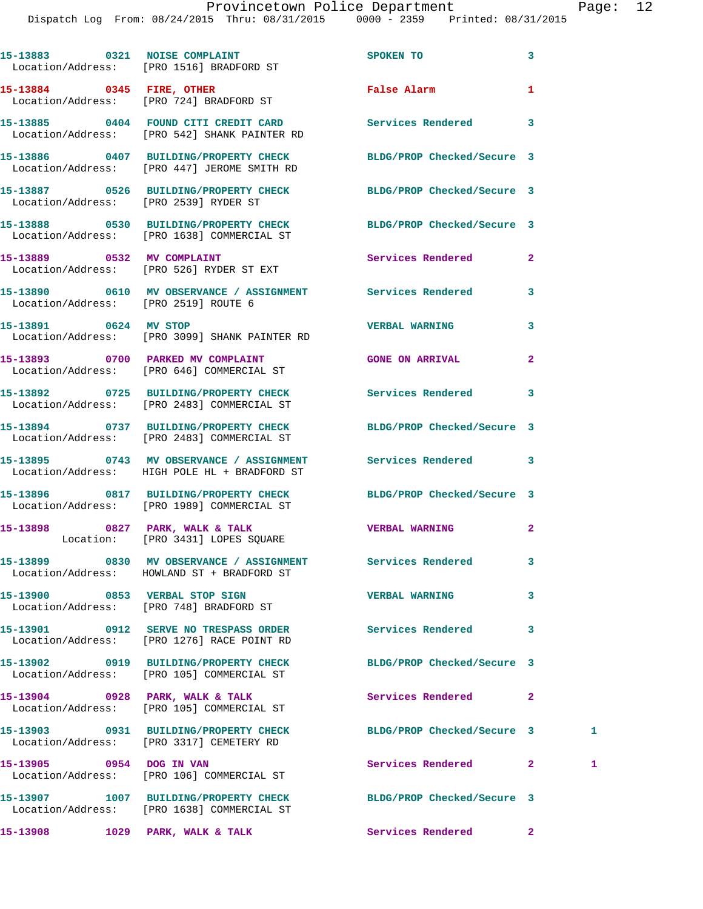|                       | 15-13883 0321 NOISE COMPLAINT<br>Location/Address: [PRO 1516] BRADFORD ST                                       | SPOKEN TO                  | 3              |    |
|-----------------------|-----------------------------------------------------------------------------------------------------------------|----------------------------|----------------|----|
|                       | 15-13884 0345 FIRE, OTHER<br>Location/Address: [PRO 724] BRADFORD ST                                            | False Alarm                | 1              |    |
|                       | 15-13885 0404 FOUND CITI CREDIT CARD Services Rendered<br>Location/Address: [PRO 542] SHANK PAINTER RD          |                            | 3              |    |
|                       | 15-13886 0407 BUILDING/PROPERTY CHECK BLDG/PROP Checked/Secure 3<br>Location/Address: [PRO 447] JEROME SMITH RD |                            |                |    |
|                       | 15-13887 0526 BUILDING/PROPERTY CHECK BLDG/PROP Checked/Secure 3<br>Location/Address: [PRO 2539] RYDER ST       |                            |                |    |
|                       | 15-13888 0530 BUILDING/PROPERTY CHECK BLDG/PROP Checked/Secure 3<br>Location/Address: [PRO 1638] COMMERCIAL ST  |                            |                |    |
|                       | 15-13889 0532 MV COMPLAINT<br>Location/Address: [PRO 526] RYDER ST EXT                                          | Services Rendered          | $\overline{a}$ |    |
|                       | 15-13890 0610 MV OBSERVANCE / ASSIGNMENT Services Rendered<br>Location/Address: [PRO 2519] ROUTE 6              |                            | 3              |    |
| 15-13891 0624 MV STOP | Location/Address: [PRO 3099] SHANK PAINTER RD                                                                   | <b>VERBAL WARNING</b>      | 3              |    |
|                       | 15-13893 0700 PARKED MV COMPLAINT<br>Location/Address: [PRO 646] COMMERCIAL ST                                  | <b>GONE ON ARRIVAL</b>     | $\mathbf{2}$   |    |
|                       | 15-13892 0725 BUILDING/PROPERTY CHECK Services Rendered<br>Location/Address: [PRO 2483] COMMERCIAL ST           |                            | 3              |    |
|                       | 15-13894 0737 BUILDING/PROPERTY CHECK<br>Location/Address: [PRO 2483] COMMERCIAL ST                             | BLDG/PROP Checked/Secure 3 |                |    |
|                       | 15-13895 0743 MV OBSERVANCE / ASSIGNMENT Services Rendered<br>Location/Address: HIGH POLE HL + BRADFORD ST      |                            | 3              |    |
|                       | 15-13896 0817 BUILDING/PROPERTY CHECK BLDG/PROP Checked/Secure 3<br>Location/Address: [PRO 1989] COMMERCIAL ST  |                            |                |    |
|                       | $15-13898$ 0827 PARK, WALK & TALK<br>Location: [PRO 3431] LOPES SQUARE                                          | <b>VERBAL WARNING</b>      | $\mathbf{2}$   |    |
|                       | 15-13899 0830 MV OBSERVANCE / ASSIGNMENT<br>Location/Address: HOWLAND ST + BRADFORD ST                          | Services Rendered          | 3              |    |
|                       | 15-13900 0853 VERBAL STOP SIGN<br>Location/Address: [PRO 748] BRADFORD ST                                       | <b>VERBAL WARNING</b>      | 3              |    |
|                       | 15-13901 0912 SERVE NO TRESPASS ORDER<br>Location/Address: [PRO 1276] RACE POINT RD                             | <b>Services Rendered</b>   | 3              |    |
|                       | 15-13902 0919 BUILDING/PROPERTY CHECK BLDG/PROP Checked/Secure 3<br>Location/Address: [PRO 105] COMMERCIAL ST   |                            |                |    |
|                       | 15-13904 0928 PARK, WALK & TALK<br>Location/Address: [PRO 105] COMMERCIAL ST                                    | Services Rendered          | $\mathbf{2}$   |    |
|                       | 15-13903 0931 BUILDING/PROPERTY CHECK BLDG/PROP Checked/Secure 3<br>Location/Address: [PRO 3317] CEMETERY RD    |                            |                | 1. |
|                       | 15-13905 0954 DOG IN VAN<br>Location/Address: [PRO 106] COMMERCIAL ST                                           | Services Rendered          | $2^{\circ}$    | 1  |
|                       | 15-13907 1007 BUILDING/PROPERTY CHECK BLDG/PROP Checked/Secure 3<br>Location/Address: [PRO 1638] COMMERCIAL ST  |                            |                |    |
|                       | 15-13908 1029 PARK, WALK & TALK 1998 Services Rendered                                                          |                            | 2 <sup>1</sup> |    |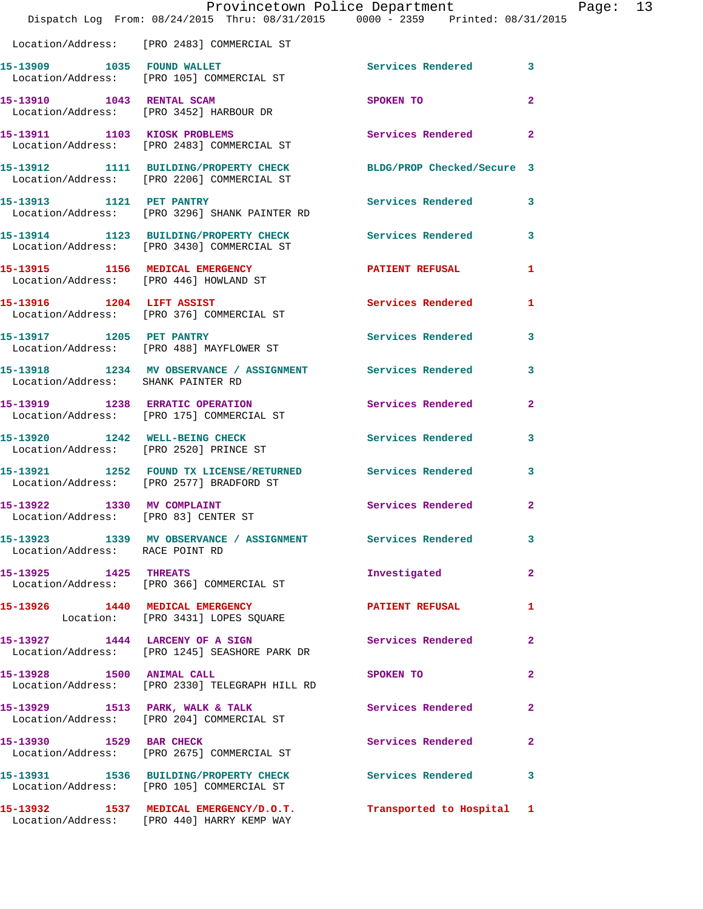|                                                                    | Provincetown Police Department<br>Dispatch Log From: 08/24/2015 Thru: 08/31/2015 0000 - 2359 Printed: 08/31/2015 |                            |                |
|--------------------------------------------------------------------|------------------------------------------------------------------------------------------------------------------|----------------------------|----------------|
|                                                                    | Location/Address: [PRO 2483] COMMERCIAL ST                                                                       |                            |                |
|                                                                    |                                                                                                                  | <b>Services Rendered</b>   | 3              |
|                                                                    | 15-13910 1043 RENTAL SCAM<br>Location/Address: [PRO 3452] HARBOUR DR                                             | SPOKEN TO                  | $\overline{a}$ |
|                                                                    | 15-13911 1103 KIOSK PROBLEMS<br>Location/Address: [PRO 2483] COMMERCIAL ST                                       | Services Rendered          | $\overline{2}$ |
|                                                                    | 15-13912 1111 BUILDING/PROPERTY CHECK<br>Location/Address: [PRO 2206] COMMERCIAL ST                              | BLDG/PROP Checked/Secure 3 |                |
| 15-13913 1121 PET PANTRY                                           | Location/Address: [PRO 3296] SHANK PAINTER RD                                                                    | <b>Services Rendered</b>   | 3              |
|                                                                    | 15-13914 1123 BUILDING/PROPERTY CHECK<br>Location/Address: [PRO 3430] COMMERCIAL ST                              | <b>Services Rendered</b>   | 3              |
| 15-13915 1156 MEDICAL EMERGENCY                                    | Location/Address: [PRO 446] HOWLAND ST                                                                           | <b>PATIENT REFUSAL</b>     | 1              |
|                                                                    | 15-13916 1204 LIFT ASSIST<br>Location/Address: [PRO 376] COMMERCIAL ST                                           | Services Rendered          | 1              |
| 15-13917 1205 PET PANTRY                                           | Location/Address: [PRO 488] MAYFLOWER ST                                                                         | Services Rendered          | 3              |
| Location/Address: SHANK PAINTER RD                                 | 15-13918 1234 MV OBSERVANCE / ASSIGNMENT Services Rendered                                                       |                            | 3              |
|                                                                    | 15-13919 1238 ERRATIC OPERATION<br>Location/Address: [PRO 175] COMMERCIAL ST                                     | Services Rendered          | $\mathbf{2}$   |
| 15-13920 1242 WELL-BEING CHECK                                     | Location/Address: [PRO 2520] PRINCE ST                                                                           | <b>Services Rendered</b>   | 3              |
|                                                                    | 15-13921 1252 FOUND TX LICENSE/RETURNED Services Rendered<br>Location/Address: [PRO 2577] BRADFORD ST            |                            | 3              |
| 15-13922 1330 MV COMPLAINT<br>Location/Address: [PRO 83] CENTER ST |                                                                                                                  | <b>Services Rendered</b>   | $\overline{2}$ |
| Location/Address: RACE POINT RD                                    | 15-13923 1339 MV OBSERVANCE / ASSIGNMENT Services Rendered                                                       |                            | 3              |
| 15-13925 1425 THREATS                                              | Location/Address: [PRO 366] COMMERCIAL ST                                                                        | Investigated               | $\mathbf{2}$   |
|                                                                    | 15-13926 1440 MEDICAL EMERGENCY<br>Location: [PRO 3431] LOPES SQUARE                                             | <b>PATIENT REFUSAL</b>     | 1              |
|                                                                    | 15-13927 1444 LARCENY OF A SIGN<br>Location/Address: [PRO 1245] SEASHORE PARK DR                                 | Services Rendered          | $\overline{2}$ |
| 15-13928 1500 ANIMAL CALL                                          | Location/Address: [PRO 2330] TELEGRAPH HILL RD                                                                   | SPOKEN TO                  | $\mathbf{2}$   |
|                                                                    | 15-13929 1513 PARK, WALK & TALK<br>Location/Address: [PRO 204] COMMERCIAL ST                                     | Services Rendered          | $\mathbf{2}$   |
| 15-13930 1529 BAR CHECK                                            | Location/Address: [PRO 2675] COMMERCIAL ST                                                                       | Services Rendered          | $\mathbf{2}$   |
|                                                                    | 15-13931 1536 BUILDING/PROPERTY CHECK<br>Location/Address: [PRO 105] COMMERCIAL ST                               | <b>Services Rendered</b>   | 3              |
|                                                                    | 15-13932 1537 MEDICAL EMERGENCY/D.O.T.<br>Location/Address: [PRO 440] HARRY KEMP WAY                             | Transported to Hospital 1  |                |

Page: 13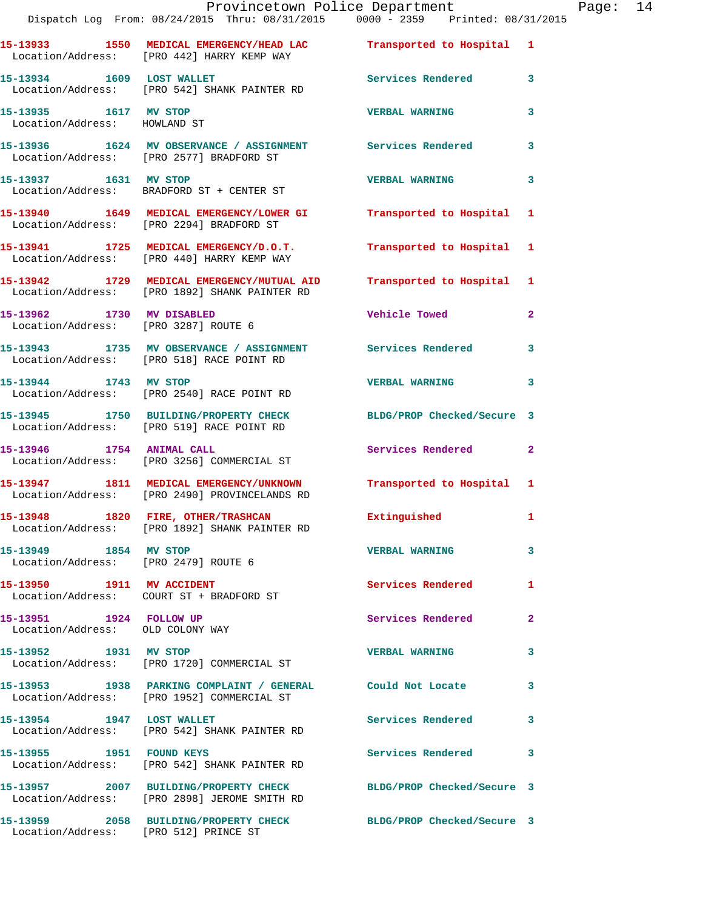|                                                               | Provincetown Police Department Page: 14                                                                          |                           |              |  |
|---------------------------------------------------------------|------------------------------------------------------------------------------------------------------------------|---------------------------|--------------|--|
|                                                               | 15-13933 1550 MEDICAL EMERGENCY/HEAD LAC Transported to Hospital 1<br>Location/Address: [PRO 442] HARRY KEMP WAY |                           |              |  |
|                                                               | 15-13934 1609 LOST WALLET<br>Location/Address: [PRO 542] SHANK PAINTER RD                                        | Services Rendered 3       |              |  |
| 15-13935 1617 MV STOP<br>Location/Address: HOWLAND ST         |                                                                                                                  | <b>VERBAL WARNING</b>     | 3            |  |
|                                                               | 15-13936 1624 MV OBSERVANCE / ASSIGNMENT Services Rendered 3<br>Location/Address: [PRO 2577] BRADFORD ST         |                           |              |  |
|                                                               | 15-13937 1631 MV STOP<br>Location/Address: BRADFORD ST + CENTER ST                                               | <b>VERBAL WARNING</b>     | $\mathbf{3}$ |  |
|                                                               | 15-13940 1649 MEDICAL EMERGENCY/LOWER GI Transported to Hospital 1<br>Location/Address: [PRO 2294] BRADFORD ST   |                           |              |  |
|                                                               | 15-13941 1725 MEDICAL EMERGENCY/D.O.T.<br>Location/Address: [PRO 440] HARRY KEMP WAY                             | Transported to Hospital 1 |              |  |
|                                                               | 15-13942 1729 MEDICAL EMERGENCY/MUTUAL AID<br>Location/Address: [PRO 1892] SHANK PAINTER RD                      | Transported to Hospital 1 |              |  |
| 15-13962 1730 MV DISABLED                                     | Location/Address: [PRO 3287] ROUTE 6                                                                             | Vehicle Towed Towe        | $\mathbf{2}$ |  |
|                                                               | 15-13943 1735 MV OBSERVANCE / ASSIGNMENT Services Rendered<br>Location/Address: [PRO 518] RACE POINT RD          |                           | 3            |  |
| 15-13944 1743 MV STOP                                         | Location/Address: [PRO 2540] RACE POINT RD                                                                       | <b>VERBAL WARNING 3</b>   |              |  |
|                                                               | 15-13945 1750 BUILDING/PROPERTY CHECK BLDG/PROP Checked/Secure 3<br>Location/Address: [PRO 519] RACE POINT RD    |                           |              |  |
|                                                               | 15-13946 1754 ANIMAL CALL<br>Location/Address: [PRO 3256] COMMERCIAL ST                                          | Services Rendered 2       |              |  |
|                                                               | 15-13947 1811 MEDICAL EMERGENCY/UNKNOWN<br>Location/Address: [PRO 2490] PROVINCELANDS RD                         | Transported to Hospital 1 |              |  |
|                                                               | 15-13948 1820 FIRE, OTHER/TRASHCAN<br>Location/Address: [PRO 1892] SHANK PAINTER RD                              | Extinguished              | $\mathbf{1}$ |  |
| 15-13949 1854 MV STOP<br>Location/Address: [PRO 2479] ROUTE 6 |                                                                                                                  | <b>VERBAL WARNING</b>     | $\mathbf{3}$ |  |
|                                                               | 15-13950 1911 MV ACCIDENT<br>Location/Address: COURT ST + BRADFORD ST                                            | <b>Services Rendered</b>  | $\mathbf{1}$ |  |
| 15-13951 1924 FOLLOW UP<br>Location/Address: OLD COLONY WAY   |                                                                                                                  | Services Rendered         | $\mathbf{2}$ |  |
| 15-13952 1931 MV STOP                                         | Location/Address: [PRO 1720] COMMERCIAL ST                                                                       | <b>VERBAL WARNING</b>     | 3            |  |
|                                                               | 15-13953 1938 PARKING COMPLAINT / GENERAL Could Not Locate 3<br>Location/Address: [PRO 1952] COMMERCIAL ST       |                           |              |  |
|                                                               | 15-13954 1947 LOST WALLET<br>Location/Address: [PRO 542] SHANK PAINTER RD                                        | Services Rendered 3       |              |  |
|                                                               | 15-13955 1951 FOUND KEYS<br>Location/Address: [PRO 542] SHANK PAINTER RD                                         | Services Rendered 3       |              |  |
|                                                               | 15-13957 2007 BUILDING/PROPERTY CHECK BLDG/PROP Checked/Secure 3<br>Location/Address: [PRO 2898] JEROME SMITH RD |                           |              |  |
| Location/Address: [PRO 512] PRINCE ST                         | 15-13959 2058 BUILDING/PROPERTY CHECK BLDG/PROP Checked/Secure 3                                                 |                           |              |  |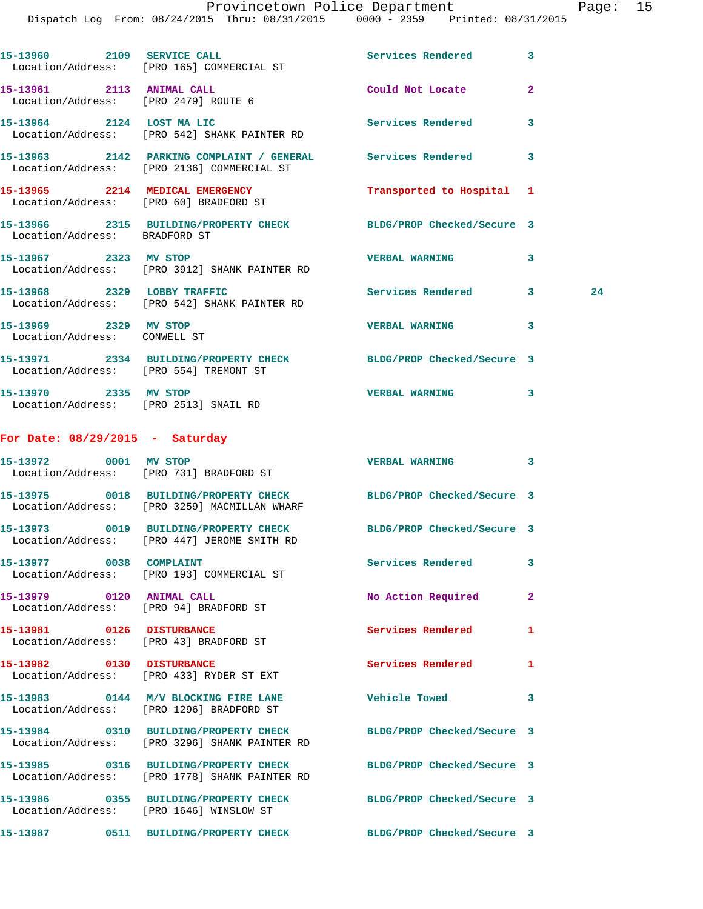Provincetown Police Department Fage: 15

Dispatch Log From: 08/24/2015 Thru: 08/31/2015 0000 - 2359 Printed: 08/31/2015

|                                                                     | LISPACCII DOG FIOM. 00/24/2015 INITU. 00/31/2015                                                                  | UUUU - 4339<br>PIINCEU: VO/31/4VI3 |              |    |
|---------------------------------------------------------------------|-------------------------------------------------------------------------------------------------------------------|------------------------------------|--------------|----|
|                                                                     | 15-13960 2109 SERVICE CALL<br>Location/Address: [PRO 165] COMMERCIAL ST                                           | Services Rendered 3                |              |    |
| 15-13961 2113 ANIMAL CALL<br>Location/Address: [PRO 2479] ROUTE 6   |                                                                                                                   | Could Not Locate                   | $\mathbf{2}$ |    |
|                                                                     | 15-13964 2124 LOST MA LIC<br>Location/Address: [PRO 542] SHANK PAINTER RD                                         | <b>Services Rendered</b>           | 3            |    |
|                                                                     | 15-13963 2142 PARKING COMPLAINT / GENERAL Services Rendered<br>Location/Address: [PRO 2136] COMMERCIAL ST         |                                    | 3            |    |
| 15-13965 2214 MEDICAL EMERGENCY                                     | Location/Address: [PRO 60] BRADFORD ST                                                                            | Transported to Hospital 1          |              |    |
| Location/Address: BRADFORD ST                                       | 15-13966 2315 BUILDING/PROPERTY CHECK BLDG/PROP Checked/Secure 3                                                  |                                    |              |    |
|                                                                     | 15-13967 2323 MV STOP<br>Location/Address: [PRO 3912] SHANK PAINTER RD                                            | <b>VERBAL WARNING</b>              | 3            |    |
|                                                                     | 15-13968 2329 LOBBY TRAFFIC<br>Location/Address: [PRO 542] SHANK PAINTER RD                                       | Services Rendered 3                |              | 24 |
| 15-13969 2329 MV STOP<br>Location/Address: CONWELL ST               |                                                                                                                   | <b>VERBAL WARNING</b>              | 3            |    |
| Location/Address: [PRO 554] TREMONT ST                              | 15-13971 2334 BUILDING/PROPERTY CHECK BLDG/PROP Checked/Secure 3                                                  |                                    |              |    |
| 15-13970 2335 MV STOP<br>Location/Address: [PRO 2513] SNAIL RD      |                                                                                                                   | <b>VERBAL WARNING</b>              | 3            |    |
| For Date: $08/29/2015$ - Saturday                                   |                                                                                                                   |                                    |              |    |
|                                                                     | 15-13972 0001 MV STOP<br>Location/Address: [PRO 731] BRADFORD ST                                                  | VERBAL WARNING 3                   |              |    |
|                                                                     | 15-13975 0018 BUILDING/PROPERTY CHECK BLDG/PROP Checked/Secure 3<br>Location/Address: [PRO 3259] MACMILLAN WHARF  |                                    |              |    |
|                                                                     | 15-13973 0019 BUILDING/PROPERTY CHECK BLDG/PROP Checked/Secure 3<br>Location/Address: [PRO 447] JEROME SMITH RD   |                                    |              |    |
| 15-13977 0038 COMPLAINT                                             | Location/Address: [PRO 193] COMMERCIAL ST                                                                         | Services Rendered                  | 3            |    |
| 15-13979 0120 ANIMAL CALL                                           | Location/Address: [PRO 94] BRADFORD ST                                                                            | No Action Required                 | $\mathbf{2}$ |    |
| 15-13981 0126 DISTURBANCE<br>Location/Address: [PRO 43] BRADFORD ST |                                                                                                                   | Services Rendered                  | 1            |    |
| 15-13982 0130 DISTURBANCE                                           | Location/Address: [PRO 433] RYDER ST EXT                                                                          | <b>Services Rendered</b>           | 1            |    |
|                                                                     | 15-13983 0144 M/V BLOCKING FIRE LANE Vehicle Towed<br>Location/Address: [PRO 1296] BRADFORD ST                    |                                    | 3            |    |
|                                                                     | 15-13984 0310 BUILDING/PROPERTY CHECK<br>Location/Address: [PRO 3296] SHANK PAINTER RD                            | BLDG/PROP Checked/Secure 3         |              |    |
|                                                                     | 15-13985 0316 BUILDING/PROPERTY CHECK BLDG/PROP Checked/Secure 3<br>Location/Address: [PRO 1778] SHANK PAINTER RD |                                    |              |    |
|                                                                     | 15-13986 0355 BUILDING/PROPERTY CHECK<br>Location/Address: [PRO 1646] WINSLOW ST                                  | BLDG/PROP Checked/Secure 3         |              |    |

**15-13987 0511 BUILDING/PROPERTY CHECK BLDG/PROP Checked/Secure 3**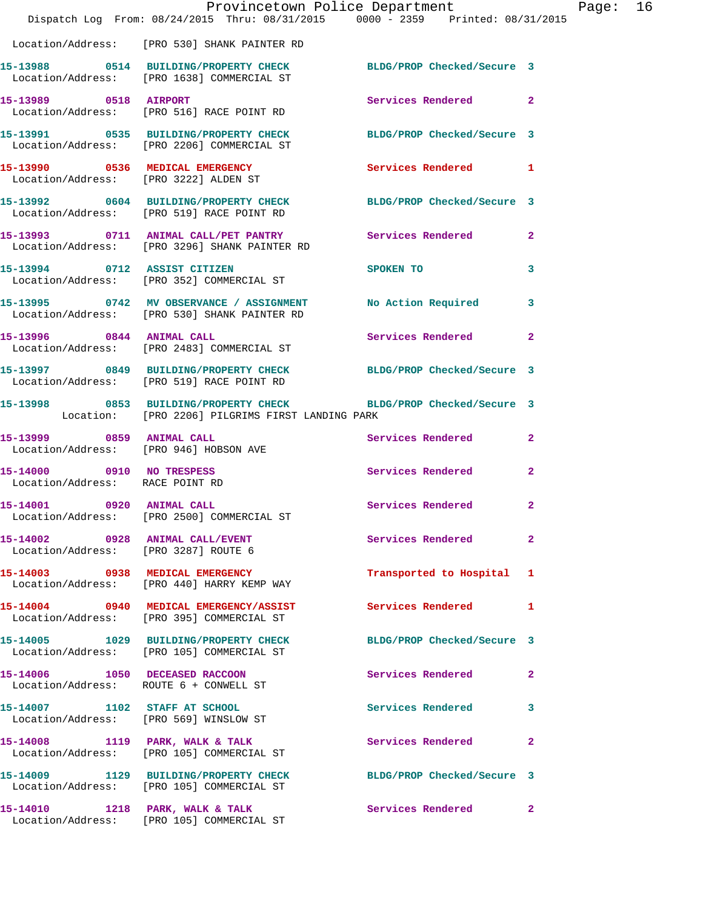|                                                              | Dispatch Log From: 08/24/2015 Thru: 08/31/2015 0000 - 2359 Printed: 08/31/2015                                       | Provincetown Police Department |              | Page: 16 |  |
|--------------------------------------------------------------|----------------------------------------------------------------------------------------------------------------------|--------------------------------|--------------|----------|--|
|                                                              | Location/Address: [PRO 530] SHANK PAINTER RD                                                                         |                                |              |          |  |
|                                                              | 15-13988 0514 BUILDING/PROPERTY CHECK BLDG/PROP Checked/Secure 3<br>Location/Address: [PRO 1638] COMMERCIAL ST       |                                |              |          |  |
|                                                              | 15-13989 0518 AIRPORT<br>Location/Address: [PRO 516] RACE POINT RD                                                   | Services Rendered 2            |              |          |  |
|                                                              | 15-13991 0535 BUILDING/PROPERTY CHECK BLDG/PROP Checked/Secure 3<br>Location/Address: [PRO 2206] COMMERCIAL ST       |                                |              |          |  |
|                                                              | 15-13990 0536 MEDICAL EMERGENCY<br>Location/Address: [PRO 3222] ALDEN ST                                             | Services Rendered 1            |              |          |  |
|                                                              | 15-13992 0604 BUILDING/PROPERTY CHECK BLDG/PROP Checked/Secure 3<br>Location/Address: [PRO 519] RACE POINT RD        |                                |              |          |  |
|                                                              | 15-13993 0711 ANIMAL CALL/PET PANTRY Services Rendered 2<br>Location/Address: [PRO 3296] SHANK PAINTER RD            |                                |              |          |  |
| 15-13994 0712 ASSIST CITIZEN                                 | Location/Address: [PRO 352] COMMERCIAL ST                                                                            | SPOKEN TO                      | 3            |          |  |
|                                                              | 15-13995 0742 MV OBSERVANCE / ASSIGNMENT<br>Location/Address: [PRO 530] SHANK PAINTER RD                             | No Action Required 3           |              |          |  |
|                                                              | 15-13996 0844 ANIMAL CALL<br>Location/Address: [PRO 2483] COMMERCIAL ST                                              | Services Rendered              | $\mathbf{2}$ |          |  |
|                                                              | 15-13997 0849 BUILDING/PROPERTY CHECK BLDG/PROP Checked/Secure 3<br>Location/Address: [PRO 519] RACE POINT RD        |                                |              |          |  |
|                                                              | 15-13998 0853 BUILDING/PROPERTY CHECK BLDG/PROP Checked/Secure 3<br>Location: [PRO 2206] PILGRIMS FIRST LANDING PARK |                                |              |          |  |
| Location/Address: [PRO 946] HOBSON AVE                       | 15-13999 0859 ANIMAL CALL                                                                                            | Services Rendered 2            |              |          |  |
| 15-14000 0910 NO TRESPESS<br>Location/Address: RACE POINT RD |                                                                                                                      | Services Rendered              | $\mathbf{2}$ |          |  |
| 15-14001 0920 ANIMAL CALL                                    | Location/Address: [PRO 2500] COMMERCIAL ST                                                                           | Services Rendered 2            |              |          |  |
|                                                              | 15-14002 0928 ANIMAL CALL/EVENT<br>Location/Address: [PRO 3287] ROUTE 6                                              | Services Rendered 2            |              |          |  |
|                                                              | 15-14003 0938 MEDICAL EMERGENCY<br>Location/Address: [PRO 440] HARRY KEMP WAY                                        | Transported to Hospital 1      |              |          |  |
|                                                              | 15-14004 0940 MEDICAL EMERGENCY/ASSIST<br>Location/Address: [PRO 395] COMMERCIAL ST                                  | Services Rendered 1            |              |          |  |
|                                                              | 15-14005 1029 BUILDING/PROPERTY CHECK<br>Location/Address: [PRO 105] COMMERCIAL ST                                   | BLDG/PROP Checked/Secure 3     |              |          |  |
|                                                              | 15-14006 1050 DECEASED RACCOON<br>Location/Address: ROUTE 6 + CONWELL ST                                             | Services Rendered 2            |              |          |  |
|                                                              | 15-14007 1102 STAFF AT SCHOOL<br>Location/Address: [PRO 569] WINSLOW ST                                              | <b>Services Rendered</b>       | $\mathbf{3}$ |          |  |
|                                                              | 15-14008 1119 PARK, WALK & TALK<br>Location/Address: [PRO 105] COMMERCIAL ST                                         | Services Rendered              | $\mathbf{2}$ |          |  |
|                                                              | 15-14009 1129 BUILDING/PROPERTY CHECK BLDG/PROP Checked/Secure 3<br>Location/Address: [PRO 105] COMMERCIAL ST        |                                |              |          |  |
|                                                              | 15-14010 1218 PARK, WALK & TALK<br>Location/Address: [PRO 105] COMMERCIAL ST                                         | Services Rendered 2            |              |          |  |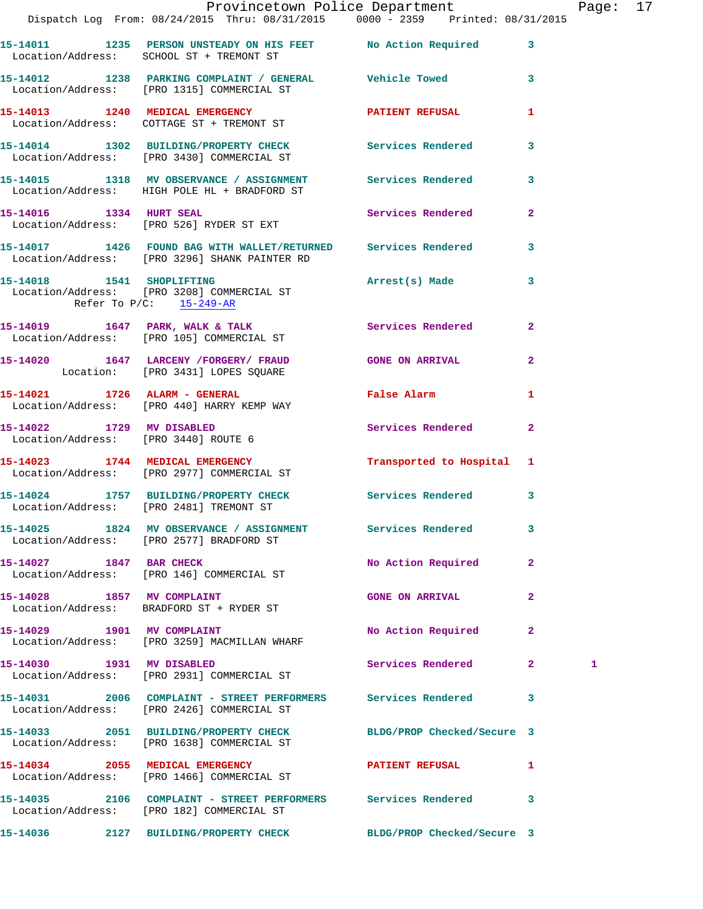|                              | Provincetown Police Department<br>Dispatch Log From: 08/24/2015 Thru: 08/31/2015  0000 - 2359  Printed: 08/31/2015 |                          |              | Page: 17 |  |
|------------------------------|--------------------------------------------------------------------------------------------------------------------|--------------------------|--------------|----------|--|
|                              |                                                                                                                    |                          |              |          |  |
|                              | 15-14011 1235 PERSON UNSTEADY ON HIS FEET No Action Required 3<br>Location/Address: SCHOOL ST + TREMONT ST         |                          |              |          |  |
|                              | 15-14012 1238 PARKING COMPLAINT / GENERAL Vehicle Towed 3<br>Location/Address: [PRO 1315] COMMERCIAL ST            |                          |              |          |  |
|                              | 15-14013 1240 MEDICAL EMERGENCY PATIENT REFUSAL 1<br>Location/Address: COTTAGE ST + TREMONT ST                     |                          |              |          |  |
|                              | 15-14014 1302 BUILDING/PROPERTY CHECK Services Rendered 3<br>Location/Address: [PRO 3430] COMMERCIAL ST            |                          |              |          |  |
|                              | 15-14015 1318 MV OBSERVANCE / ASSIGNMENT Services Rendered 3<br>Location/Address: HIGH POLE HL + BRADFORD ST       |                          |              |          |  |
|                              | 15-14016 1334 HURT SEAL Services Rendered 2<br>Location/Address: [PRO 526] RYDER ST EXT                            |                          |              |          |  |
|                              | 15-14017 1426 FOUND BAG WITH WALLET/RETURNED Services Rendered 3<br>Location/Address: [PRO 3296] SHANK PAINTER RD  |                          |              |          |  |
| Refer To $P/C$ : $15-249-AR$ | 15-14018 1541 SHOPLIFTING 15-14018 Arrest(s) Made 3<br>Location/Address: [PRO 3208] COMMERCIAL ST                  |                          |              |          |  |
|                              | 15-14019 1647 PARK, WALK & TALK Services Rendered 2<br>Location/Address: [PRO 105] COMMERCIAL ST                   |                          |              |          |  |
|                              | 15-14020 1647 LARCENY / FORGERY / FRAUD GONE ON ARRIVAL 2<br>Location: [PRO 3431] LOPES SQUARE                     |                          |              |          |  |
|                              | 15-14021 1726 ALARM - GENERAL Talse Alarm<br>Location/Address: [PRO 440] HARRY KEMP WAY                            |                          | $\mathbf{1}$ |          |  |
|                              | 15-14022 1729 MV DISABLED<br>Location/Address: [PRO 3440] ROUTE 6                                                  | Services Rendered 2      |              |          |  |
|                              | Location/Address: [PRO 2977] COMMERCIAL ST                                                                         |                          |              |          |  |
|                              | 15-14024 1757 BUILDING/PROPERTY CHECK Services Rendered 3<br>Location/Address: [PRO 2481] TREMONT ST               |                          |              |          |  |
|                              | 15-14025 1824 MV OBSERVANCE / ASSIGNMENT Services Rendered 3<br>Location/Address: [PRO 2577] BRADFORD ST           |                          |              |          |  |
|                              | 15-14027 1847 BAR CHECK<br>Location/Address: [PRO 146] COMMERCIAL ST                                               | No Action Required 2     |              |          |  |
| 15-14028 1857 MV COMPLAINT   | Location/Address: BRADFORD ST + RYDER ST                                                                           | <b>GONE ON ARRIVAL 2</b> |              |          |  |
|                              | 15-14029 1901 MV COMPLAINT<br>Location/Address: [PRO 3259] MACMILLAN WHARF                                         | No Action Required 2     |              |          |  |
| 15-14030 1931 MV DISABLED    | Location/Address: [PRO 2931] COMMERCIAL ST                                                                         | Services Rendered 2      |              | 1        |  |
|                              | 15-14031 2006 COMPLAINT - STREET PERFORMERS Services Rendered 3<br>Location/Address: [PRO 2426] COMMERCIAL ST      |                          |              |          |  |
|                              | 15-14033 2051 BUILDING/PROPERTY CHECK BLDG/PROP Checked/Secure 3<br>Location/Address: [PRO 1638] COMMERCIAL ST     |                          |              |          |  |
|                              | 15-14034 2055 MEDICAL EMERGENCY<br>Location/Address: [PRO 1466] COMMERCIAL ST                                      | PATIENT REFUSAL 1        |              |          |  |
|                              | 15-14035 2106 COMPLAINT - STREET PERFORMERS Services Rendered 3<br>Location/Address: [PRO 182] COMMERCIAL ST       |                          |              |          |  |
|                              | 15-14036 2127 BUILDING/PROPERTY CHECK BLDG/PROP Checked/Secure 3                                                   |                          |              |          |  |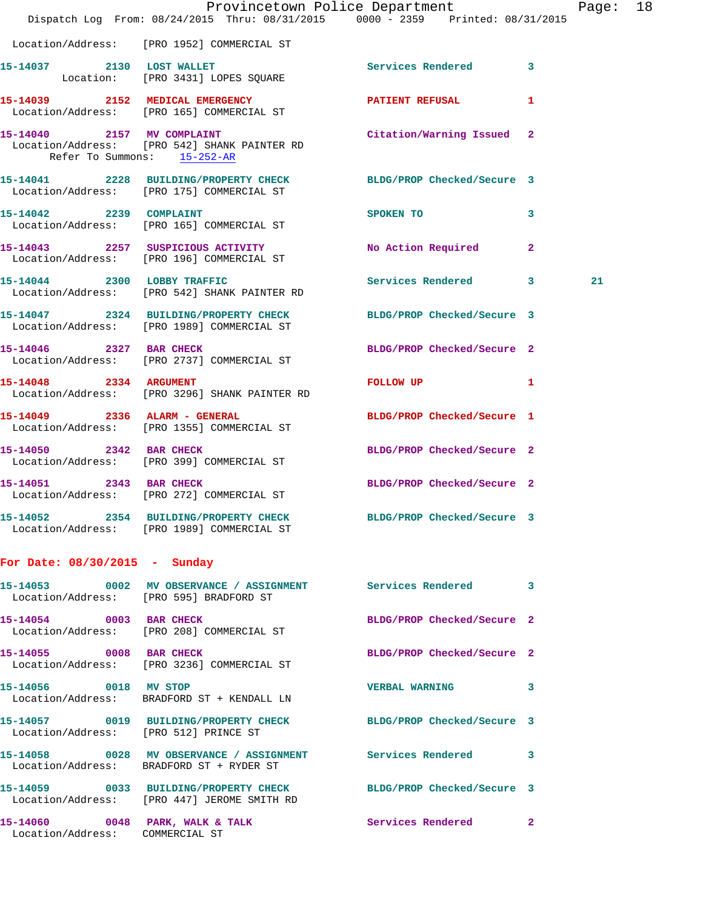|                                 | Dispatch Log From: 08/24/2015 Thru: 08/31/2015 0000 - 2359 Printed: 08/31/2015                                  | Provincetown Police Department     | Page: 18 |  |
|---------------------------------|-----------------------------------------------------------------------------------------------------------------|------------------------------------|----------|--|
|                                 | Location/Address: [PRO 1952] COMMERCIAL ST                                                                      |                                    |          |  |
|                                 | 15-14037 2130 LOST WALLET<br>Location: [PRO 3431] LOPES SQUARE                                                  | Services Rendered 3                |          |  |
|                                 | 15-14039 2152 MEDICAL EMERGENCY PATIENT REFUSAL<br>Location/Address: [PRO 165] COMMERCIAL ST                    | 1                                  |          |  |
| 15-14040 2157 MV COMPLAINT      | Location/Address: [PRO 542] SHANK PAINTER RD<br>Refer To Summons: 15-252-AR                                     | Citation/Warning Issued 2          |          |  |
|                                 | 15-14041 2228 BUILDING/PROPERTY CHECK BLDG/PROP Checked/Secure 3<br>Location/Address: [PRO 175] COMMERCIAL ST   |                                    |          |  |
|                                 | 15-14042 2239 COMPLAINT<br>Location/Address: [PRO 165] COMMERCIAL ST                                            | SPOKEN TO<br>3                     |          |  |
|                                 | 15-14043 2257 SUSPICIOUS ACTIVITY<br>Location/Address: [PRO 196] COMMERCIAL ST                                  | No Action Required<br>$\mathbf{2}$ |          |  |
|                                 | 15-14044 2300 LOBBY TRAFFIC<br>Location/Address: [PRO 542] SHANK PAINTER RD                                     | Services Rendered 3                | 21       |  |
|                                 | 15-14047 2324 BUILDING/PROPERTY CHECK BLDG/PROP Checked/Secure 3<br>Location/Address: [PRO 1989] COMMERCIAL ST  |                                    |          |  |
|                                 | 15-14046 2327 BAR CHECK<br>Location/Address: [PRO 2737] COMMERCIAL ST                                           | BLDG/PROP Checked/Secure 2         |          |  |
| 15-14048 2334 ARGUMENT          | Location/Address: [PRO 3296] SHANK PAINTER RD                                                                   | FOLLOW UP 1                        |          |  |
|                                 | 15-14049 2336 ALARM - GENERAL<br>Location/Address: [PRO 1355] COMMERCIAL ST                                     | BLDG/PROP Checked/Secure 1         |          |  |
| 15-14050 2342 BAR CHECK         | Location/Address: [PRO 399] COMMERCIAL ST                                                                       | BLDG/PROP Checked/Secure 2         |          |  |
|                                 | 15-14051 2343 BAR CHECK<br>Location/Address: [PRO 272] COMMERCIAL ST                                            | BLDG/PROP Checked/Secure 2         |          |  |
|                                 | 15-14052 2354 BUILDING/PROPERTY CHECK<br>Location/Address: [PRO 1989] COMMERCIAL ST                             | BLDG/PROP Checked/Secure 3         |          |  |
| For Date: $08/30/2015$ - Sunday |                                                                                                                 |                                    |          |  |
|                                 | 15-14053 0002 MV OBSERVANCE / ASSIGNMENT Services Rendered 3<br>Location/Address: [PRO 595] BRADFORD ST         |                                    |          |  |
| 15-14054 0003 BAR CHECK         | Location/Address: [PRO 208] COMMERCIAL ST                                                                       | BLDG/PROP Checked/Secure 2         |          |  |
| 15-14055 0008 BAR CHECK         | Location/Address: [PRO 3236] COMMERCIAL ST                                                                      | BLDG/PROP Checked/Secure 2         |          |  |
| 15-14056 0018 MV STOP           | Location/Address: BRADFORD ST + KENDALL LN                                                                      | <b>VERBAL WARNING</b><br>3         |          |  |
|                                 | 15-14057 0019 BUILDING/PROPERTY CHECK BLDG/PROP Checked/Secure 3<br>Location/Address: [PRO 512] PRINCE ST       |                                    |          |  |
|                                 | 15-14058 0028 MV OBSERVANCE / ASSIGNMENT Services Rendered<br>Location/Address: BRADFORD ST + RYDER ST          | 3                                  |          |  |
|                                 | 15-14059 0033 BUILDING/PROPERTY CHECK BLDG/PROP Checked/Secure 3<br>Location/Address: [PRO 447] JEROME SMITH RD |                                    |          |  |
| Location/Address: COMMERCIAL ST | 15-14060 0048 PARK, WALK & TALK 6 Services Rendered 2                                                           |                                    |          |  |
|                                 |                                                                                                                 |                                    |          |  |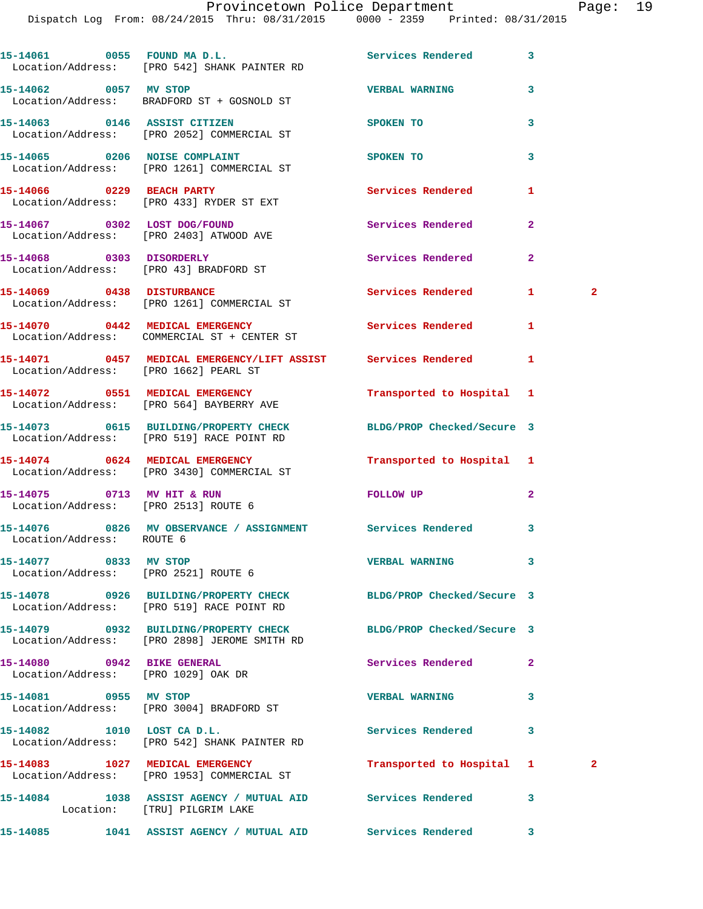Dispatch Log From: 08/24/2015 Thru: 08/31/2015 0000 - 2359 Printed: 08/31/2015

| 15-14061 0055 FOUND MAD.L.                                         | Location/Address: [PRO 542] SHANK PAINTER RD                                                                     | Services Rendered          | 3            |              |
|--------------------------------------------------------------------|------------------------------------------------------------------------------------------------------------------|----------------------------|--------------|--------------|
| 15-14062 0057 MV STOP                                              | Location/Address: BRADFORD ST + GOSNOLD ST                                                                       | <b>VERBAL WARNING</b>      | 3            |              |
|                                                                    | 15-14063 0146 ASSIST CITIZEN<br>Location/Address: [PRO 2052] COMMERCIAL ST                                       | SPOKEN TO                  | 3            |              |
|                                                                    | 15-14065 0206 NOISE COMPLAINT<br>Location/Address: [PRO 1261] COMMERCIAL ST                                      | SPOKEN TO                  | 3            |              |
|                                                                    | 15-14066 0229 BEACH PARTY<br>Location/Address: [PRO 433] RYDER ST EXT                                            | Services Rendered          | 1            |              |
| 15-14067 0302 LOST DOG/FOUND                                       | Location/Address: [PRO 2403] ATWOOD AVE                                                                          | Services Rendered          | $\mathbf{2}$ |              |
| 15-14068 0303 DISORDERLY                                           | Location/Address: [PRO 43] BRADFORD ST                                                                           | Services Rendered          | $\mathbf{2}$ |              |
|                                                                    | 15-14069 0438 DISTURBANCE<br>Location/Address: [PRO 1261] COMMERCIAL ST                                          | <b>Services Rendered</b>   | 1.           | $\mathbf{2}$ |
|                                                                    | 15-14070 0442 MEDICAL EMERGENCY<br>Location/Address: COMMERCIAL ST + CENTER ST                                   | <b>Services Rendered</b>   | 1            |              |
| Location/Address: [PRO 1662] PEARL ST                              | 15-14071 0457 MEDICAL EMERGENCY/LIFT ASSIST Services Rendered                                                    |                            | 1            |              |
|                                                                    | 15-14072 0551 MEDICAL EMERGENCY<br>Location/Address: [PRO 564] BAYBERRY AVE                                      | Transported to Hospital 1  |              |              |
|                                                                    | 15-14073 0615 BUILDING/PROPERTY CHECK<br>Location/Address: [PRO 519] RACE POINT RD                               | BLDG/PROP Checked/Secure 3 |              |              |
|                                                                    | 15-14074 0624 MEDICAL EMERGENCY<br>Location/Address: [PRO 3430] COMMERCIAL ST                                    | Transported to Hospital 1  |              |              |
| 15-14075 0713 MV HIT & RUN<br>Location/Address: [PRO 2513] ROUTE 6 |                                                                                                                  | FOLLOW UP                  | $\mathbf{2}$ |              |
| Location/Address: ROUTE 6                                          | 15-14076 0826 MV OBSERVANCE / ASSIGNMENT Services Rendered                                                       |                            | 3            |              |
| 15-14077 0833 MV STOP<br>Location/Address: [PRO 2521] ROUTE 6      |                                                                                                                  | <b>VERBAL WARNING</b>      | 3            |              |
|                                                                    | 15-14078 0926 BUILDING/PROPERTY CHECK BLDG/PROP Checked/Secure 3<br>Location/Address: [PRO 519] RACE POINT RD    |                            |              |              |
|                                                                    | 15-14079 0932 BUILDING/PROPERTY CHECK BLDG/PROP Checked/Secure 3<br>Location/Address: [PRO 2898] JEROME SMITH RD |                            |              |              |
| 15-14080 0942 BIKE GENERAL<br>Location/Address: [PRO 1029] OAK DR  |                                                                                                                  | Services Rendered          | $\mathbf{2}$ |              |
| 15-14081 0955 MV STOP                                              | Location/Address: [PRO 3004] BRADFORD ST                                                                         | <b>VERBAL WARNING</b>      | 3            |              |
| 15-14082 1010 LOST CA D.L.                                         | Location/Address: [PRO 542] SHANK PAINTER RD                                                                     | Services Rendered          | 3            |              |
|                                                                    | 15-14083 1027 MEDICAL EMERGENCY<br>Location/Address: [PRO 1953] COMMERCIAL ST                                    | Transported to Hospital    | $\mathbf{1}$ | $\mathbf{2}$ |
| Location: [TRU] PILGRIM LAKE                                       | 15-14084 1038 ASSIST AGENCY / MUTUAL AID Services Rendered                                                       |                            | 3            |              |
|                                                                    |                                                                                                                  |                            | 3            |              |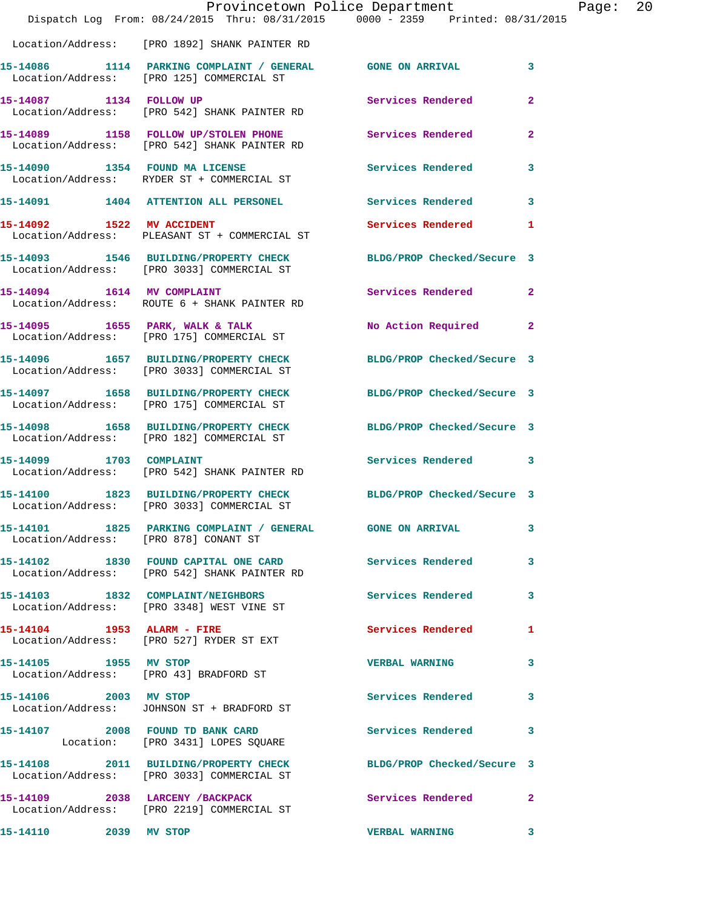|                         | Dispatch Log From: 08/24/2015 Thru: 08/31/2015 0000 - 2359 Printed: 08/31/2015                                 | Provincetown Police Department | P              |
|-------------------------|----------------------------------------------------------------------------------------------------------------|--------------------------------|----------------|
|                         |                                                                                                                |                                |                |
|                         | Location/Address: [PRO 1892] SHANK PAINTER RD                                                                  |                                |                |
|                         | 15-14086 1114 PARKING COMPLAINT / GENERAL GONE ON ARRIVAL<br>Location/Address: [PRO 125] COMMERCIAL ST         |                                | 3              |
|                         | 15-14087 1134 FOLLOW UP<br>Location/Address: [PRO 542] SHANK PAINTER RD                                        | <b>Services Rendered</b>       | $\mathbf{2}$   |
|                         | 15-14089 1158 FOLLOW UP/STOLEN PHONE Services Rendered<br>Location/Address: [PRO 542] SHANK PAINTER RD         |                                | $\overline{2}$ |
|                         | 15-14090 1354 FOUND MA LICENSE<br>Location/Address: RYDER ST + COMMERCIAL ST                                   | <b>Services Rendered</b>       | 3              |
|                         | 15-14091 1404 ATTENTION ALL PERSONEL Services Rendered                                                         |                                | 3              |
|                         | 15-14092 1522 MV ACCIDENT<br>Location/Address: PLEASANT ST + COMMERCIAL ST                                     | Services Rendered              | 1              |
|                         | 15-14093 1546 BUILDING/PROPERTY CHECK BLDG/PROP Checked/Secure 3<br>Location/Address: [PRO 3033] COMMERCIAL ST |                                |                |
|                         | 15-14094 1614 MV COMPLAINT<br>Location/Address: ROUTE 6 + SHANK PAINTER RD                                     | <b>Services Rendered</b>       | $\mathbf{2}$   |
|                         | 15-14095 1655 PARK, WALK & TALK<br>Location/Address: [PRO 175] COMMERCIAL ST                                   | No Action Required             | $\mathbf{2}$   |
|                         | 15-14096 1657 BUILDING/PROPERTY CHECK<br>Location/Address: [PRO 3033] COMMERCIAL ST                            | BLDG/PROP Checked/Secure 3     |                |
|                         | 15-14097 1658 BUILDING/PROPERTY CHECK<br>Location/Address: [PRO 175] COMMERCIAL ST                             | BLDG/PROP Checked/Secure 3     |                |
|                         | 15-14098 1658 BUILDING/PROPERTY CHECK<br>Location/Address: [PRO 182] COMMERCIAL ST                             | BLDG/PROP Checked/Secure 3     |                |
| 15-14099 1703 COMPLAINT | Location/Address: [PRO 542] SHANK PAINTER RD                                                                   | <b>Services Rendered</b>       | 3              |
|                         | 15-14100 1823 BUILDING/PROPERTY CHECK<br>Location/Address: [PRO 3033] COMMERCIAL ST                            | BLDG/PROP Checked/Secure 3     |                |
|                         | 15-14101 1825 PARKING COMPLAINT / GENERAL GONE ON ARRIVAL<br>Location/Address: [PRO 878] CONANT ST             |                                | 3              |
|                         | 15-14102 1830 FOUND CAPITAL ONE CARD Services Rendered<br>Location/Address: [PRO 542] SHANK PAINTER RD         |                                | 3              |
|                         | 15-14103 1832 COMPLAINT/NEIGHBORS<br>Location/Address: [PRO 3348] WEST VINE ST                                 | Services Rendered              | 3              |
|                         | 15-14104 1953 ALARM - FIRE<br>Location/Address: [PRO 527] RYDER ST EXT                                         | Services Rendered              | 1              |
| 15-14105 1955 MV STOP   | Location/Address: [PRO 43] BRADFORD ST                                                                         | <b>VERBAL WARNING</b>          | 3              |
| 15-14106 2003 MV STOP   | Location/Address: JOHNSON ST + BRADFORD ST                                                                     | <b>Services Rendered</b>       | 3              |
|                         | 15-14107 2008 FOUND TD BANK CARD<br>Location: [PRO 3431] LOPES SQUARE                                          | Services Rendered              | 3              |
|                         | 15-14108 2011 BUILDING/PROPERTY CHECK<br>Location/Address: [PRO 3033] COMMERCIAL ST                            | BLDG/PROP Checked/Secure 3     |                |
|                         | 15-14109 2038 LARCENY / BACKPACK<br>Location/Address: [PRO 2219] COMMERCIAL ST                                 | <b>Services Rendered</b>       | $\mathbf{2}$   |
| 15-14110 2039 MV STOP   |                                                                                                                | <b>VERBAL WARNING</b>          | $\mathbf{3}$   |

Page: 20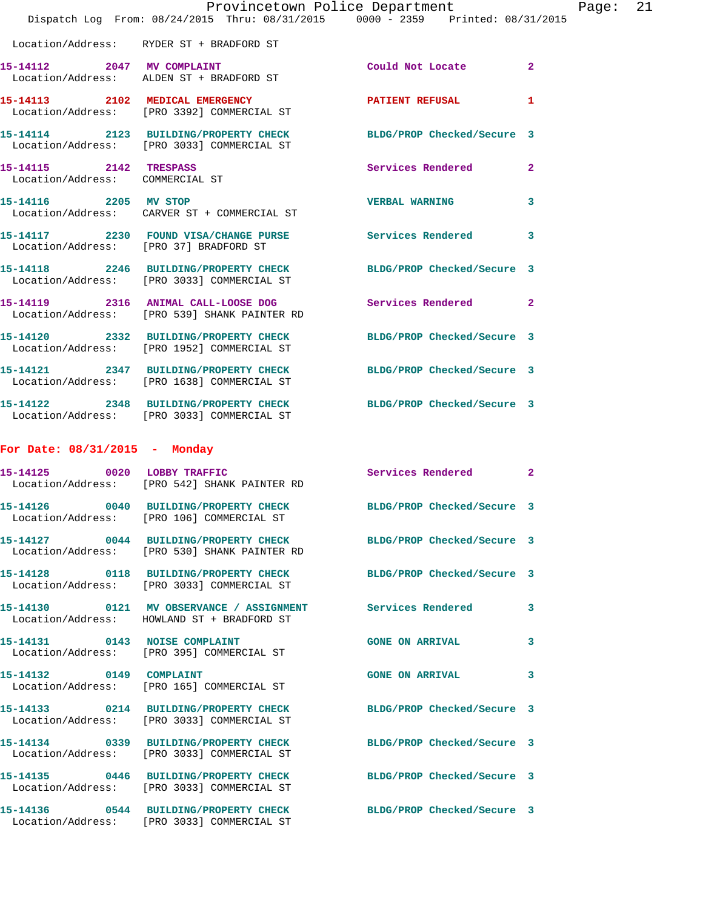|                                                           | Provincetown Police Department<br>Dispatch Log From: 08/24/2015 Thru: 08/31/2015 0000 - 2359 Printed: 08/31/2015 |                            |                |
|-----------------------------------------------------------|------------------------------------------------------------------------------------------------------------------|----------------------------|----------------|
|                                                           | Location/Address: RYDER ST + BRADFORD ST                                                                         |                            |                |
|                                                           | 15-14112 2047 MV COMPLAINT<br>Location/Address: ALDEN ST + BRADFORD ST                                           | Could Not Locate           | $\overline{2}$ |
|                                                           | 15-14113 2102 MEDICAL EMERGENCY<br>Location/Address: [PRO 3392] COMMERCIAL ST                                    | <b>PATIENT REFUSAL</b>     | 1              |
|                                                           | 15-14114 2123 BUILDING/PROPERTY CHECK<br>Location/Address: [PRO 3033] COMMERCIAL ST                              | BLDG/PROP Checked/Secure 3 |                |
| 15-14115 2142 TRESPASS<br>Location/Address: COMMERCIAL ST |                                                                                                                  | Services Rendered          | $\mathbf{2}$   |
| 15-14116 2205 MV STOP                                     | Location/Address: CARVER ST + COMMERCIAL ST                                                                      | <b>VERBAL WARNING</b>      | 3              |
|                                                           | 15-14117 2230 FOUND VISA/CHANGE PURSE Services Rendered<br>Location/Address: [PRO 37] BRADFORD ST                |                            | 3              |
|                                                           | 15-14118 2246 BUILDING/PROPERTY CHECK<br>Location/Address: [PRO 3033] COMMERCIAL ST                              | BLDG/PROP Checked/Secure 3 |                |
|                                                           | 15-14119 2316 ANIMAL CALL-LOOSE DOG<br>Location/Address: [PRO 539] SHANK PAINTER RD                              | Services Rendered          | $\mathbf{2}$   |
|                                                           | 15-14120 2332 BUILDING/PROPERTY CHECK<br>Location/Address: [PRO 1952] COMMERCIAL ST                              | BLDG/PROP Checked/Secure 3 |                |
|                                                           | 15-14121 2347 BUILDING/PROPERTY CHECK<br>Location/Address: [PRO 1638] COMMERCIAL ST                              | BLDG/PROP Checked/Secure 3 |                |
|                                                           | 15-14122 2348 BUILDING/PROPERTY CHECK<br>Location/Address: [PRO 3033] COMMERCIAL ST                              | BLDG/PROP Checked/Secure 3 |                |
| For Date: 08/31/2015 - Monday                             |                                                                                                                  |                            |                |
|                                                           | 15-14125 0020 LOBBY TRAFFIC<br>Location/Address: [PRO 542] SHANK PAINTER RD                                      | Services Rendered          | $\mathbf{2}$   |
|                                                           | 15-14126 0040 BUILDING/PROPERTY CHECK<br>Location/Address: [PRO 106] COMMERCIAL ST                               | BLDG/PROP Checked/Secure 3 |                |
|                                                           | 15-14127 0044 BUILDING/PROPERTY CHECK<br>Location/Address: [PRO 530] SHANK PAINTER RD                            | BLDG/PROP Checked/Secure 3 |                |
|                                                           | 15-14128 0118 BUILDING/PROPERTY CHECK<br>Location/Address: [PRO 3033] COMMERCIAL ST                              | BLDG/PROP Checked/Secure 3 |                |
|                                                           | 15-14130  0121 MV OBSERVANCE / ASSIGNMENT Services Rendered<br>Location/Address: HOWLAND ST + BRADFORD ST        |                            | 3              |
|                                                           | 15-14131 0143 NOISE COMPLAINT<br>Location/Address: [PRO 395] COMMERCIAL ST                                       | <b>GONE ON ARRIVAL</b>     | 3              |
| 15-14132 0149 COMPLAINT                                   | Location/Address: [PRO 165] COMMERCIAL ST                                                                        | <b>GONE ON ARRIVAL</b>     | 3.             |
|                                                           | 15-14133 0214 BUILDING/PROPERTY CHECK<br>Location/Address: [PRO 3033] COMMERCIAL ST                              | BLDG/PROP Checked/Secure 3 |                |
|                                                           | 15-14134 0339 BUILDING/PROPERTY CHECK BLDG/PROP Checked/Secure 3<br>Location/Address: [PRO 3033] COMMERCIAL ST   |                            |                |
|                                                           | 15-14135 0446 BUILDING/PROPERTY CHECK<br>Location/Address: [PRO 3033] COMMERCIAL ST                              | BLDG/PROP Checked/Secure 3 |                |
|                                                           | 15-14136 0544 BUILDING/PROPERTY CHECK<br>Location/Address: [PRO 3033] COMMERCIAL ST                              | BLDG/PROP Checked/Secure 3 |                |

Page: 21